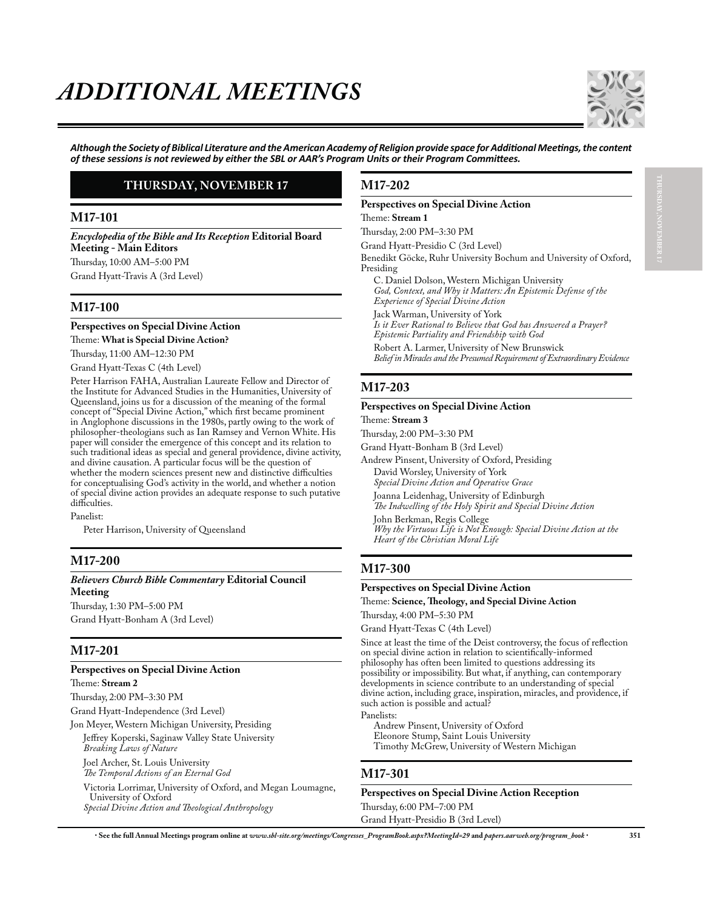

*Ålthough the Society of Biblical Literature and the American Academy of Religion provide space for Additional Meetings, the content* of these sessions is not reviewed by either the SBL or AAR's Program Units or their Program Committees.

## **THURSDAY, NOVEMBER 17**

## **M17-101**

*Encyclopedia of the Bible and Its Reception* **Editorial Board Meeting - Main Editors** Thursday, 10:00 AM–5:00 PM

Grand Hyatt-Travis A (3rd Level)

## **M17-100**

**Perspectives on Special Divine Action** Theme: **What is Special Divine Action?**

Thursday, 11:00 AM–12:30 PM

Grand Hyatt-Texas C (4th Level)

Peter Harrison FAHA, Australian Laureate Fellow and Director of the Institute for Advanced Studies in the Humanities, University of Queensland, joins us for a discussion of the meaning of the formal concept of "Special Divine Action," which first became prominent in Anglophone discussions in the 1980s, partly owing to the work of philosopher-theologians such as Ian Ramsey and Vernon White. His paper will consider the emergence of this concept and its relation to such traditional ideas as special and general providence, divine activity, and divine causation. A particular focus will be the question of whether the modern sciences present new and distinctive difficulties for conceptualising God's activity in the world, and whether a notion of special divine action provides an adequate response to such putative difficulties.

Panelist:

Peter Harrison, University of Queensland

## **M17-200**

*Believers Church Bible Commentary* **Editorial Council Meeting**

Thursday, 1:30 PM–5:00 PM Grand Hyatt-Bonham A (3rd Level)

## **M17-201**

### **Perspectives on Special Divine Action**

Theme: **Stream 2** Thursday, 2:00 PM–3:30 PM Grand Hyatt-Independence (3rd Level) Jon Meyer, Western Michigan University, Presiding Jeffrey Koperski, Saginaw Valley State University *Breaking Laws of Nature* Joel Archer, St. Louis University *The Temporal Actions of an Eternal God* Victoria Lorrimar, University of Oxford, and Megan Loumagne, University of Oxford *Special Divine Action and Theological Anthropology*

**M17-202**

### **Perspectives on Special Divine Action**

Theme: **Stream 1**

Thursday, 2:00 PM–3:30 PM

Grand Hyatt-Presidio C (3rd Level)

Benedikt Göcke, Ruhr University Bochum and University of Oxford, Presiding

C. Daniel Dolson, Western Michigan University *God, Context, and Why it Matters: An Epistemic Defense of the Experience of Special Divine Action*

Jack Warman, University of York

*Is it Ever Rational to Believe that God has Answered a Prayer? Epistemic Partiality and Friendship with God*

Robert A. Larmer, University of New Brunswick *Belief in Miracles and the Presumed Requirement of Extraordinary Evidence*

## **M17-203**

### **Perspectives on Special Divine Action**

Theme: **Stream 3**

Thursday, 2:00 PM–3:30 PM

Grand Hyatt-Bonham B (3rd Level)

Andrew Pinsent, University of Oxford, Presiding

David Worsley, University of York *Special Divine Action and Operative Grace*

Joanna Leidenhag, University of Edinburgh *The Indwelling of the Holy Spirit and Special Divine Action*

John Berkman, Regis College

*Why the Virtuous Life is Not Enough: Special Divine Action at the Heart of the Christian Moral Life*

## **M17-300**

### **Perspectives on Special Divine Action** Theme: **Science, Theology, and Special Divine Action**

Thursday, 4:00 PM–5:30 PM

Grand Hyatt-Texas C (4th Level)

Since at least the time of the Deist controversy, the focus of reflection on special divine action in relation to scientifically-informed philosophy has often been limited to questions addressing its possibility or impossibility. But what, if anything, can contemporary developments in science contribute to an understanding of special divine action, including grace, inspiration, miracles, and providence, if such action is possible and actual?

Panelists:

Andrew Pinsent, University of Oxford Eleonore Stump, Saint Louis University Timothy McGrew, University of Western Michigan

### **M17-301**

**Perspectives on Special Divine Action Reception** Thursday, 6:00 PM–7:00 PM Grand Hyatt-Presidio B (3rd Level)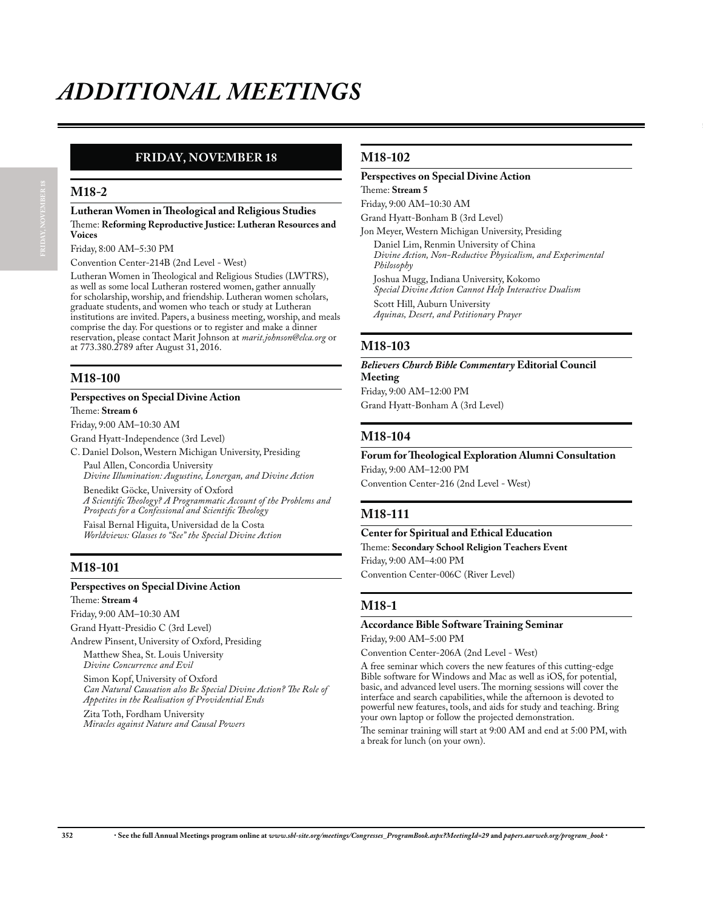# **FRIDAY, NOVEMBER 18**

### **M18-2**

### **Lutheran Women in Theological and Religious Studies** Theme: **Reforming Reproductive Justice: Lutheran Resources and Voices**

Friday, 8:00 AM–5:30 PM

Convention Center-214B (2nd Level - West)

Lutheran Women in Theological and Religious Studies (LWTRS), as well as some local Lutheran rostered women, gather annually for scholarship, worship, and friendship. Lutheran women scholars, graduate students, and women who teach or study at Lutheran institutions are invited. Papers, a business meeting, worship, and meals comprise the day. For questions or to register and make a dinner reservation, please contact Marit Johnson at *marit.johnson@elca.org* or at 773.380.2789 after August 31, 2016.

# **M18-100**

### **Perspectives on Special Divine Action**

Theme: **Stream 6**

Friday, 9:00 AM–10:30 AM

Grand Hyatt-Independence (3rd Level)

C. Daniel Dolson, Western Michigan University, Presiding Paul Allen, Concordia University

*Divine Illumination: Augustine, Lonergan, and Divine Action* Benedikt Göcke, University of Oxford

*A Scientific Theology? A Programmatic Account of the Problems and Prospects for a Confessional and Scientific Theology*

Faisal Bernal Higuita, Universidad de la Costa *Worldviews: Glasses to "See" the Special Divine Action*

## **M18-101**

### **Perspectives on Special Divine Action**

Theme: **Stream 4**

Friday, 9:00 AM–10:30 AM

Grand Hyatt-Presidio C (3rd Level)

Andrew Pinsent, University of Oxford, Presiding Matthew Shea, St. Louis University *Divine Concurrence and Evil*

Simon Kopf, University of Oxford *Can Natural Causation also Be Special Divine Action? The Role of Appetites in the Realisation of Providential Ends*

Zita Toth, Fordham University *Miracles against Nature and Causal Powers*

## **M18-102**

### **Perspectives on Special Divine Action** Theme: **Stream 5**

Friday, 9:00 AM–10:30 AM

Grand Hyatt-Bonham B (3rd Level)

Jon Meyer, Western Michigan University, Presiding

Daniel Lim, Renmin University of China *Divine Action, Non-Reductive Physicalism, and Experimental Philosophy*

Joshua Mugg, Indiana University, Kokomo *Special Divine Action Cannot Help Interactive Dualism*

Scott Hill, Auburn University *Aquinas, Desert, and Petitionary Prayer*

## **M18-103**

*Believers Church Bible Commentary* **Editorial Council Meeting** Friday, 9:00 AM–12:00 PM

Grand Hyatt-Bonham A (3rd Level)

## **M18-104**

**Forum for Theological Exploration Alumni Consultation** Friday, 9:00 AM–12:00 PM

Convention Center-216 (2nd Level - West)

## **M18-111**

# **Center for Spiritual and Ethical Education**

Theme: **Secondary School Religion Teachers Event** Friday, 9:00 AM–4:00 PM

Convention Center-006C (River Level)

# **M18-1**

### **Accordance Bible Software Training Seminar** Friday, 9:00 AM–5:00 PM

Convention Center-206A (2nd Level - West)

A free seminar which covers the new features of this cutting-edge Bible software for Windows and Mac as well as iOS, for potential, basic, and advanced level users. The morning sessions will cover the interface and search capabilities, while the afternoon is devoted to powerful new features, tools, and aids for study and teaching. Bring your own laptop or follow the projected demonstration.

The seminar training will start at 9:00 AM and end at 5:00 PM, with a break for lunch (on your own).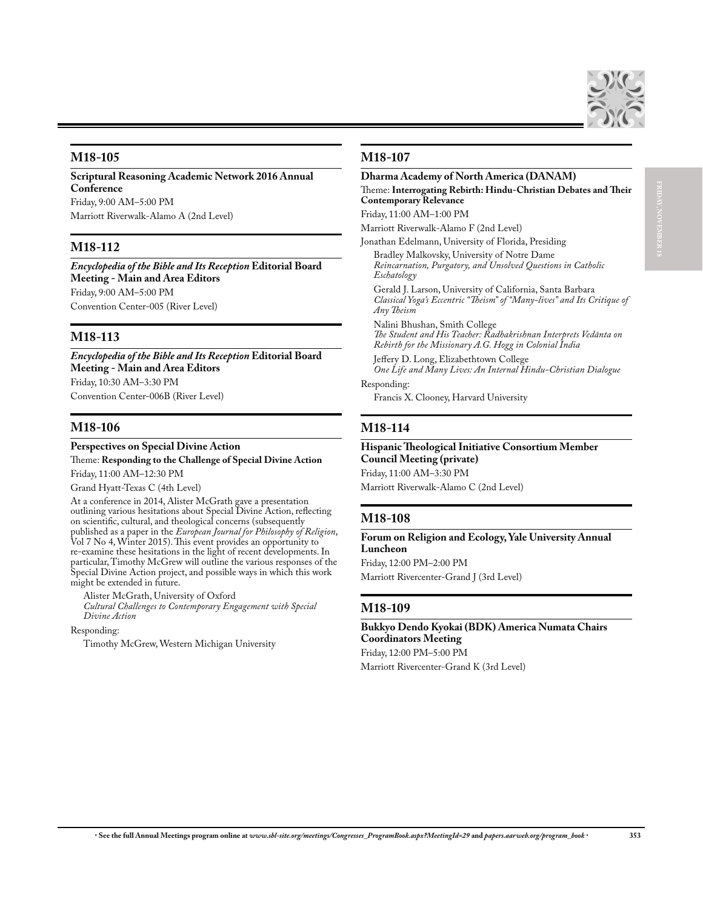

## **M18-105**

**Scriptural Reasoning Academic Network 2016 Annual Conference**

Friday, 9:00 AM–5:00 PM Marriott Riverwalk-Alamo A (2nd Level)

## **M18-112**

*Encyclopedia of the Bible and Its Reception* **Editorial Board Meeting - Main and Area Editors** Friday, 9:00 AM–5:00 PM Convention Center-005 (River Level)

## **M18-113**

*Encyclopedia of the Bible and Its Reception* **Editorial Board Meeting - Main and Area Editors** Friday, 10:30 AM–3:30 PM Convention Center-006B (River Level)

## **M18-106**

### **Perspectives on Special Divine Action** Theme: **Responding to the Challenge of Special Divine Action**

Friday, 11:00 AM–12:30 PM

Grand Hyatt-Texas C (4th Level)

At a conference in 2014, Alister McGrath gave a presentation outlining various hesitations about Special Divine Action, reflecting on scientific, cultural, and theological concerns (subsequently published as a paper in the *European Journal for Philosophy of Religion*, Vol 7 No 4, Winter 2015). This event provides an opportunity to re-examine these hesitations in the light of recent developments. In particular, Timothy McGrew will outline the various responses of the Special Divine Action project, and possible ways in which this work might be extended in future.

Alister McGrath, University of Oxford *Cultural Challenges to Contemporary Engagement with Special Divine Action*

Responding:

Timothy McGrew, Western Michigan University

## **M18-107**

### **Dharma Academy of North America (DANAM)** Theme: **Interrogating Rebirth: Hindu-Christian Debates and Their Contemporary Relevance**

Friday, 11:00 AM–1:00 PM

Marriott Riverwalk-Alamo F (2nd Level)

Jonathan Edelmann, University of Florida, Presiding Bradley Malkovsky, University of Notre Dame *Reincarnation, Purgatory, and Unsolved Questions in Catholic* 

*Eschatology* Gerald J. Larson, University of California, Santa Barbara

*Classical Yoga's Eccentric "Theism" of "Many-lives" and Its Critique of Any Theism*

Nalini Bhushan, Smith College

*The Student and His Teacher: Radhakrishnan Interprets Vedānta on Rebirth for the Missionary A.G. Hogg in Colonial India*

Jeffery D. Long, Elizabethtown College *One Life and Many Lives: An Internal Hindu-Christian Dialogue* Responding:

Francis X. Clooney, Harvard University

## **M18-114**

### **Hispanic Theological Initiative Consortium Member Council Meeting (private)** Friday, 11:00 AM–3:30 PM

Marriott Riverwalk-Alamo C (2nd Level)

## **M18-108**

**Forum on Religion and Ecology, Yale University Annual Luncheon**

Friday, 12:00 PM–2:00 PM Marriott Rivercenter-Grand J (3rd Level)

### **M18-109**

### **Bukkyo Dendo Kyokai (BDK) America Numata Chairs Coordinators Meeting** Friday, 12:00 PM–5:00 PM

Marriott Rivercenter-Grand K (3rd Level)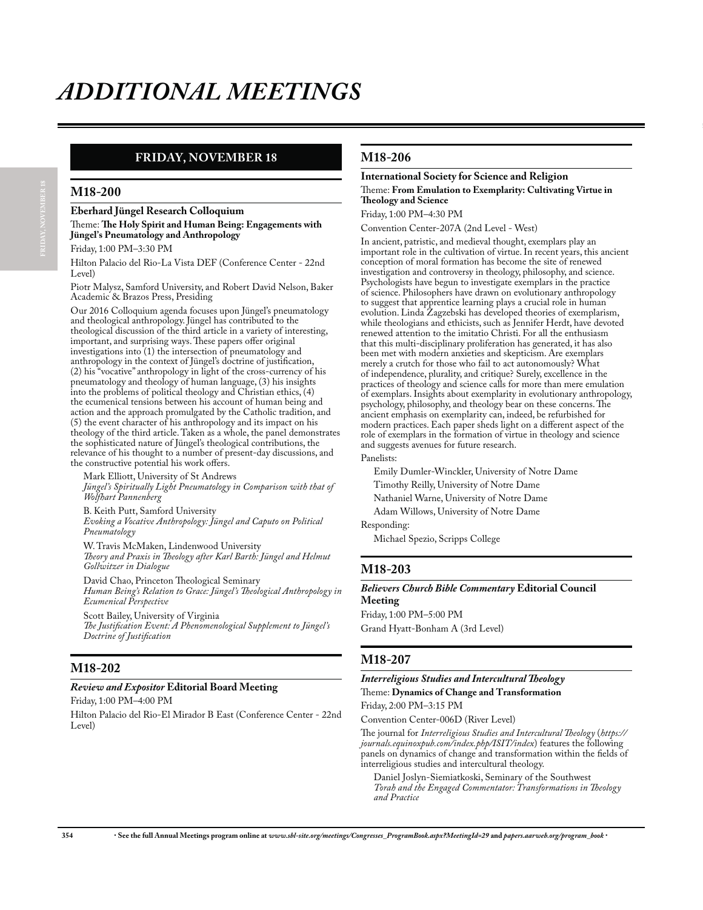# **FRIDAY, NOVEMBER 18**

### **M18-200**

**Eberhard Jüngel Research Colloquium**

Theme: **The Holy Spirit and Human Being: Engagements with Jüngel's Pneumatology and Anthropology**

Friday, 1:00 PM–3:30 PM

Hilton Palacio del Rio-La Vista DEF (Conference Center - 22nd Level)

Piotr Malysz, Samford University, and Robert David Nelson, Baker Academic & Brazos Press, Presiding

Our 2016 Colloquium agenda focuses upon Jüngel's pneumatology and theological anthropology. Jüngel has contributed to the theological discussion of the third article in a variety of interesting, important, and surprising ways. These papers offer original investigations into (1) the intersection of pneumatology and anthropology in the context of Jüngel's doctrine of justification, (2) his "vocative" anthropology in light of the cross-currency of his pneumatology and theology of human language, (3) his insights into the problems of political theology and Christian ethics, (4) the ecumenical tensions between his account of human being and action and the approach promulgated by the Catholic tradition, and (5) the event character of his anthropology and its impact on his theology of the third article. Taken as a whole, the panel demonstrates the sophisticated nature of Jüngel's theological contributions, the relevance of his thought to a number of present-day discussions, and the constructive potential his work offers.

Mark Elliott, University of St Andrews *Jüngel's Spiritually Light Pneumatology in Comparison with that of Wolfhart Pannenberg*

B. Keith Putt, Samford University *Evoking a Vocative Anthropology: Jüngel and Caputo on Political Pneumatology*

W. Travis McMaken, Lindenwood University *Theory and Praxis in Theology after Karl Barth: Jüngel and Helmut Gollwitzer in Dialogue*

David Chao, Princeton Theological Seminary *Human Being's Relation to Grace: Jüngel's Theological Anthropology in Ecumenical Perspective*

Scott Bailey, University of Virginia *The Justification Event: A Phenomenological Supplement to Jüngel's Doctrine of Justification*

## **M18-202**

### *Review and Expositor* **Editorial Board Meeting**

Friday, 1:00 PM–4:00 PM

Hilton Palacio del Rio-El Mirador B East (Conference Center - 22nd Level)

## **M18-206**

### **International Society for Science and Religion** Theme: **From Emulation to Exemplarity: Cultivating Virtue in Theology and Science**

Friday, 1:00 PM–4:30 PM

Convention Center-207A (2nd Level - West)

In ancient, patristic, and medieval thought, exemplars play an important role in the cultivation of virtue. In recent years, this ancient conception of moral formation has become the site of renewed investigation and controversy in theology, philosophy, and science. Psychologists have begun to investigate exemplars in the practice of science. Philosophers have drawn on evolutionary anthropology to suggest that apprentice learning plays a crucial role in human evolution. Linda Zagzebski has developed theories of exemplarism, while theologians and ethicists, such as Jennifer Herdt, have devoted renewed attention to the imitatio Christi. For all the enthusiasm that this multi-disciplinary proliferation has generated, it has also been met with modern anxieties and skepticism. Are exemplars merely a crutch for those who fail to act autonomously? What of independence, plurality, and critique? Surely, excellence in the practices of theology and science calls for more than mere emulation of exemplars. Insights about exemplarity in evolutionary anthropology, psychology, philosophy, and theology bear on these concerns. The ancient emphasis on exemplarity can, indeed, be refurbished for modern practices. Each paper sheds light on a different aspect of the role of exemplars in the formation of virtue in theology and science and suggests avenues for future research.

### Panelists:

Emily Dumler-Winckler, University of Notre Dame Timothy Reilly, University of Notre Dame Nathaniel Warne, University of Notre Dame Adam Willows, University of Notre Dame Responding:

Michael Spezio, Scripps College

## **M18-203**

#### *Believers Church Bible Commentary* **Editorial Council Meeting**

Friday, 1:00 PM–5:00 PM Grand Hyatt-Bonham A (3rd Level)

## **M18-207**

*Interreligious Studies and Intercultural Theology*

Theme: **Dynamics of Change and Transformation**

Friday, 2:00 PM–3:15 PM

Convention Center-006D (River Level)

The journal for *Interreligious Studies and Intercultural Theology* (*https:// journals.equinoxpub.com/index.php/ISIT/index*) features the following panels on dynamics of change and transformation within the fields of interreligious studies and intercultural theology.

Daniel Joslyn-Siemiatkoski, Seminary of the Southwest *Torah and the Engaged Commentator: Transformations in Theology and Practice*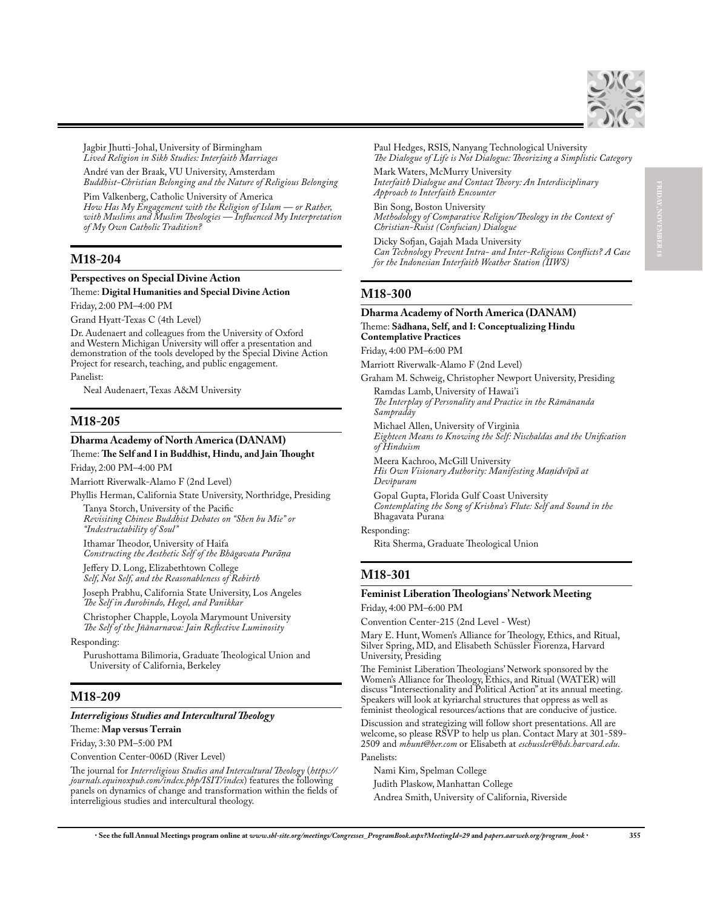

**FRIDAY, NOVEMBER 18**

Jagbir Jhutti-Johal, University of Birmingham *Lived Religion in Sikh Studies: Interfaith Marriages*

André van der Braak, VU University, Amsterdam

*Buddhist-Christian Belonging and the Nature of Religious Belonging*

Pim Valkenberg, Catholic University of America *How Has My Engagement with the Religion of Islam — or Rather, with Muslims and Muslim Theologies — Influenced My Interpretation of My Own Catholic Tradition?*

# **M18-204**

### **Perspectives on Special Divine Action** Theme: **Digital Humanities and Special Divine Action**

Friday, 2:00 PM–4:00 PM

Grand Hyatt-Texas C (4th Level)

Dr. Audenaert and colleagues from the University of Oxford and Western Michigan University will offer a presentation and demonstration of the tools developed by the Special Divine Action Project for research, teaching, and public engagement.

Panelist:

Neal Audenaert, Texas A&M University

## **M18-205**

### **Dharma Academy of North America (DANAM)**

### Theme: **The Self and I in Buddhist, Hindu, and Jain Thought** Friday, 2:00 PM–4:00 PM

Marriott Riverwalk-Alamo F (2nd Level)

Phyllis Herman, California State University, Northridge, Presiding

Tanya Storch, University of the Pacific *Revisiting Chinese Buddhist Debates on "Shen bu Mie" or "Indestructability of Soul"*

Ithamar Theodor, University of Haifa *Constructing the Aesthetic Self of the Bhagavata Purāņa* 

Jeffery D. Long, Elizabethtown College *Self, Not Self, and the Reasonableness of Rebirth*

Joseph Prabhu, California State University, Los Angeles *The Self in Aurobindo, Hegel, and Panikkar*

Christopher Chapple, Loyola Marymount University *The Self of the Jñānarnava: Jain Reflective Luminosity*

Responding:

Purushottama Bilimoria, Graduate Theological Union and University of California, Berkeley

## **M18-209**

### *Interreligious Studies and Intercultural Theology*

Theme: **Map versus Terrain**

Friday, 3:30 PM–5:00 PM

Convention Center-006D (River Level)

The journal for *Interreligious Studies and Intercultural Theology* (*https:// journals.equinoxpub.com/index.php/ISIT/index*) features the following panels on dynamics of change and transformation within the fields of interreligious studies and intercultural theology.

Paul Hedges, RSIS, Nanyang Technological University *The Dialogue of Life is Not Dialogue: Theorizing a Simplistic Category*

Mark Waters, McMurry University *Interfaith Dialogue and Contact Theory: An Interdisciplinary Approach to Interfaith Encounter*

Bin Song, Boston University *Methodology of Comparative Religion/Theology in the Context of Christian-Ruist (Confucian) Dialogue*

Dicky Sofjan, Gajah Mada University *Can Technology Prevent Intra- and Inter-Religious Conflicts? A Case for the Indonesian Interfaith Weather Station (IIWS)*

## **M18-300**

### **Dharma Academy of North America (DANAM)** Theme: **Sādhana, Self, and I: Conceptualizing Hindu Contemplative Practices**

Friday, 4:00 PM–6:00 PM

Marriott Riverwalk-Alamo F (2nd Level)

Graham M. Schweig, Christopher Newport University, Presiding Ramdas Lamb, University of Hawai'i

*The Interplay of Personality and Practice in the Rāmānanda Sampradāy*

Michael Allen, University of Virginia

*Eighteen Means to Knowing the Self: Nischaldas and the Unification of Hinduism*

Meera Kachroo, McGill University *His Own Visionary Authority: Manifesting Manidvīpā at Devīpuram*

Gopal Gupta, Florida Gulf Coast University *Contemplating the Song of Krishna's Flute: Self and Sound in the*  Bhagavata Purana

Responding:

Rita Sherma, Graduate Theological Union

## **M18-301**

### **Feminist Liberation Theologians' Network Meeting**

Friday, 4:00 PM–6:00 PM

Convention Center-215 (2nd Level - West)

Mary E. Hunt, Women's Alliance for Theology, Ethics, and Ritual, Silver Spring, MD, and Elisabeth Schüssler Fiorenza, Harvard University, Presiding

The Feminist Liberation Theologians' Network sponsored by the Women's Alliance for Theology, Ethics, and Ritual (WATER) will discuss "Intersectionality and Political Action" at its annual meeting. Speakers will look at kyriarchal structures that oppress as well as feminist theological resources/actions that are conducive of justice.

Discussion and strategizing will follow short presentations. All are welcome, so please RSVP to help us plan. Contact Mary at 301-589-2509 and *mhunt@her.com* or Elisabeth at *eschussler@hds.harvard.edu*. Panelists:

Nami Kim, Spelman College

Judith Plaskow, Manhattan College

Andrea Smith, University of California, Riverside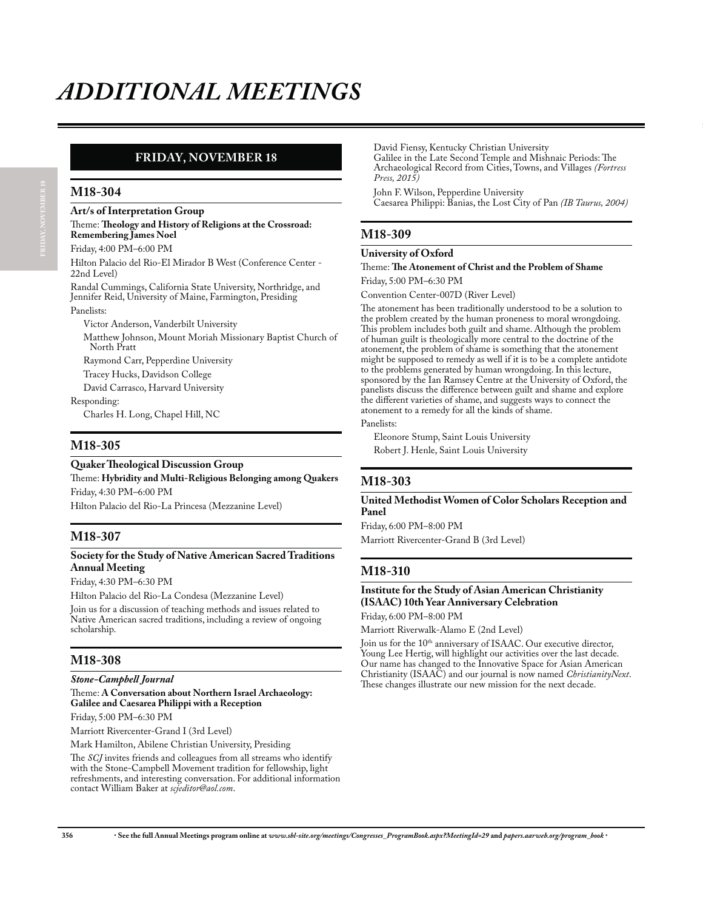# **FRIDAY, NOVEMBER 18**

### **M18-304**

**Art/s of Interpretation Group** Theme: **Theology and History of Religions at the Crossroad:** 

**Remembering James Noel** Friday, 4:00 PM–6:00 PM

Hilton Palacio del Rio-El Mirador B West (Conference Center - 22nd Level)

Randal Cummings, California State University, Northridge, and Jennifer Reid, University of Maine, Farmington, Presiding

Panelists:

Victor Anderson, Vanderbilt University

Matthew Johnson, Mount Moriah Missionary Baptist Church of North Pratt

Raymond Carr, Pepperdine University

Tracey Hucks, Davidson College

David Carrasco, Harvard University

Responding:

Charles H. Long, Chapel Hill, NC

## **M18-305**

### **Quaker Theological Discussion Group**

Theme: **Hybridity and Multi-Religious Belonging among Quakers** Friday, 4:30 PM–6:00 PM

Hilton Palacio del Rio-La Princesa (Mezzanine Level)

## **M18-307**

### **Society for the Study of Native American Sacred Traditions Annual Meeting**

Friday, 4:30 PM–6:30 PM

Hilton Palacio del Rio-La Condesa (Mezzanine Level)

Join us for a discussion of teaching methods and issues related to Native American sacred traditions, including a review of ongoing scholarship.

## **M18-308**

*Stone-Campbell Journal*

Theme: **A Conversation about Northern Israel Archaeology: Galilee and Caesarea Philippi with a Reception**

Friday, 5:00 PM–6:30 PM

Marriott Rivercenter-Grand I (3rd Level)

Mark Hamilton, Abilene Christian University, Presiding

The *SCJ* invites friends and colleagues from all streams who identify with the Stone-Campbell Movement tradition for fellowship, light refreshments, and interesting conversation. For additional information contact William Baker at *scjeditor@aol.com*.

David Fiensy, Kentucky Christian University Galilee in the Late Second Temple and Mishnaic Periods: The Archaeological Record from Cities, Towns, and Villages *(Fortress Press, 2015)*

John F. Wilson, Pepperdine University Caesarea Philippi: Banias, the Lost City of Pan *(IB Taurus, 2004)*

# **M18-309**

### **University of Oxford**

Theme: **The Atonement of Christ and the Problem of Shame** Friday, 5:00 PM–6:30 PM

Convention Center-007D (River Level)

The atonement has been traditionally understood to be a solution to the problem created by the human proneness to moral wrongdoing. This problem includes both guilt and shame. Although the problem of human guilt is theologically more central to the doctrine of the atonement, the problem of shame is something that the atonement might be supposed to remedy as well if it is to be a complete antidote to the problems generated by human wrongdoing. In this lecture, sponsored by the Ian Ramsey Centre at the University of Oxford, the panelists discuss the difference between guilt and shame and explore the different varieties of shame, and suggests ways to connect the atonement to a remedy for all the kinds of shame.

### Panelists:

Eleonore Stump, Saint Louis University Robert J. Henle, Saint Louis University

# **M18-303**

### **United Methodist Women of Color Scholars Reception and Panel**

Friday, 6:00 PM–8:00 PM Marriott Rivercenter-Grand B (3rd Level)

## **M18-310**

## **Institute for the Study of Asian American Christianity (ISAAC) 10th Year Anniversary Celebration**

Friday, 6:00 PM–8:00 PM

Marriott Riverwalk-Alamo E (2nd Level)

Join us for the 10<sup>th</sup> anniversary of ISAAC. Our executive director, Young Lee Hertig, will highlight our activities over the last decade. Our name has changed to the Innovative Space for Asian American Christianity (ISAAC) and our journal is now named *ChristianityNext*. These changes illustrate our new mission for the next decade.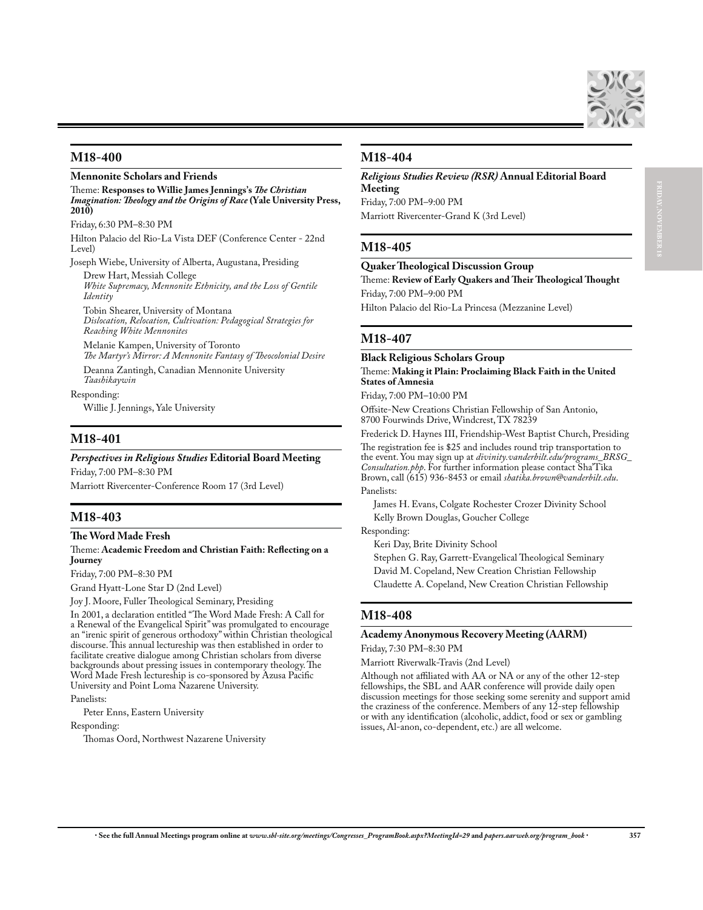

**FRIDAY, NOVEMBER 18**

### **M18-400**

### **Mennonite Scholars and Friends**

Theme: **Responses to Willie James Jennings's** *The Christian Imagination: Theology and the Origins of Race* **(Yale University Press, 2010)**

Friday, 6:30 PM–8:30 PM

Hilton Palacio del Rio-La Vista DEF (Conference Center - 22nd Level)

Joseph Wiebe, University of Alberta, Augustana, Presiding Drew Hart, Messiah College

*White Supremacy, Mennonite Ethnicity, and the Loss of Gentile Identity*

Tobin Shearer, University of Montana *Dislocation, Relocation, Cultivation: Pedagogical Strategies for Reaching White Mennonites*

Melanie Kampen, University of Toronto *The Martyr's Mirror: A Mennonite Fantasy of Theocolonial Desire*

Deanna Zantingh, Canadian Mennonite University *Taashikaywin*

Responding:

Willie J. Jennings, Yale University

### **M18-401**

### *Perspectives in Religious Studies* **Editorial Board Meeting**

Friday, 7:00 PM–8:30 PM Marriott Rivercenter-Conference Room 17 (3rd Level)

### **M18-403**

### **The Word Made Fresh**

### Theme: **Academic Freedom and Christian Faith: Reflecting on a Journey**

Friday, 7:00 PM–8:30 PM

Grand Hyatt-Lone Star D (2nd Level)

Joy J. Moore, Fuller Theological Seminary, Presiding

In 2001, a declaration entitled "The Word Made Fresh: A Call for a Renewal of the Evangelical Spirit" was promulgated to encourage an "irenic spirit of generous orthodoxy" within Christian theological discourse. This annual lectureship was then established in order to facilitate creative dialogue among Christian scholars from diverse backgrounds about pressing issues in contemporary theology. The Word Made Fresh lectureship is co-sponsored by Azusa Pacific University and Point Loma Nazarene University.

Panelists:

Peter Enns, Eastern University

Responding:

Thomas Oord, Northwest Nazarene University

## **M18-404**

### *Religious Studies Review (RSR)* **Annual Editorial Board Meeting**

Friday, 7:00 PM–9:00 PM Marriott Rivercenter-Grand K (3rd Level)

## **M18-405**

### **Quaker Theological Discussion Group**

Theme: **Review of Early Quakers and Their Theological Thought** Friday, 7:00 PM–9:00 PM

Hilton Palacio del Rio-La Princesa (Mezzanine Level)

## **M18-407**

### **Black Religious Scholars Group** Theme: **Making it Plain: Proclaiming Black Faith in the United States of Amnesia**

Friday, 7:00 PM–10:00 PM

Offsite-New Creations Christian Fellowship of San Antonio, 8700 Fourwinds Drive, Windcrest, TX 78239

Frederick D. Haynes III, Friendship-West Baptist Church, Presiding The registration fee is \$25 and includes round trip transportation to the event. You may sign up at *divinity.vanderbilt.edu/programs\_BRSG\_ Consultation.php*. For further information please contact Sha'Tika Brown, call (615) 936-8453 or email *shatika.brown@vanderbilt.edu*. Panelists:

James H. Evans, Colgate Rochester Crozer Divinity School Kelly Brown Douglas, Goucher College

Responding:

Keri Day, Brite Divinity School

Stephen G. Ray, Garrett-Evangelical Theological Seminary David M. Copeland, New Creation Christian Fellowship Claudette A. Copeland, New Creation Christian Fellowship

### **M18-408**

### **Academy Anonymous Recovery Meeting (AARM)**

Friday, 7:30 PM–8:30 PM

Marriott Riverwalk-Travis (2nd Level)

Although not affiliated with AA or NA or any of the other 12-step fellowships, the SBL and AAR conference will provide daily open discussion meetings for those seeking some serenity and support amid the craziness of the conference. Members of any 12-step fellowship or with any identification (alcoholic, addict, food or sex or gambling issues, Al-anon, co-dependent, etc.) are all welcome.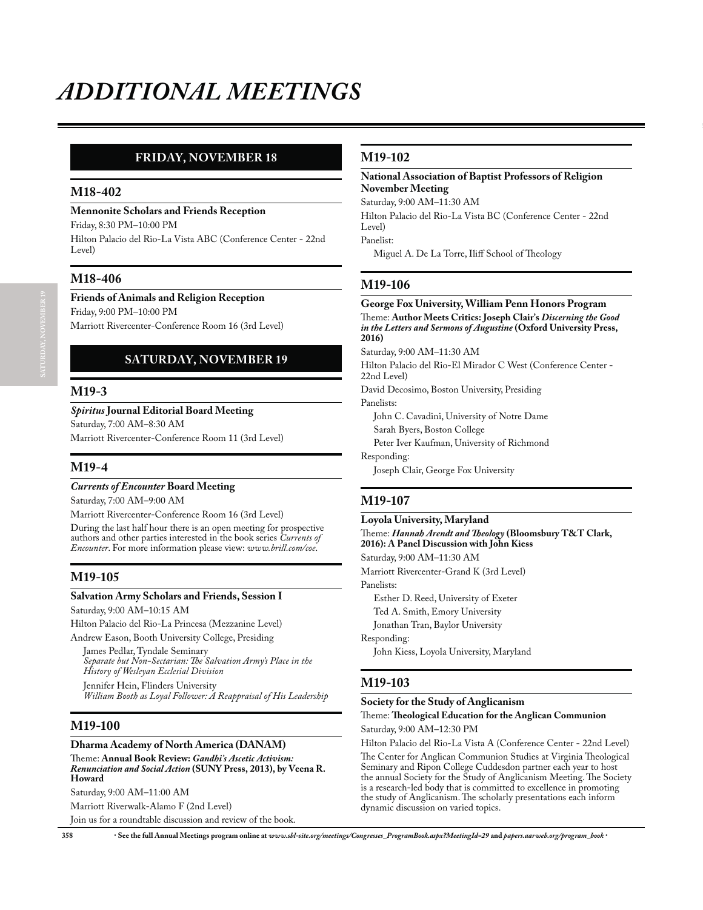# **SATURDAY, NOVEMBER 19 FRIDAY, NOVEMBER 18**

### **M18-402**

### **Mennonite Scholars and Friends Reception**

Friday, 8:30 PM–10:00 PM Hilton Palacio del Rio-La Vista ABC (Conference Center - 22nd Level)

## **M18-406**

**Friends of Animals and Religion Reception** Friday, 9:00 PM–10:00 PM

Marriott Rivercenter-Conference Room 16 (3rd Level)

# **SATURDAY, NOVEMBER 19**

### **M19-3**

### *Spiritus* **Journal Editorial Board Meeting**

Saturday, 7:00 AM–8:30 AM

Marriott Rivercenter-Conference Room 11 (3rd Level)

### **M19-4**

### *Currents of Encounter* **Board Meeting**

Saturday, 7:00 AM–9:00 AM

Marriott Rivercenter-Conference Room 16 (3rd Level) During the last half hour there is an open meeting for prospective authors and other parties interested in the book series *Currents of Encounter*. For more information please view: *www.brill.com/coe*.

### **M19-105**

### **Salvation Army Scholars and Friends, Session I**

Saturday, 9:00 AM–10:15 AM

Hilton Palacio del Rio-La Princesa (Mezzanine Level) Andrew Eason, Booth University College, Presiding

James Pedlar, Tyndale Seminary *Separate but Non-Sectarian: The Salvation Army's Place in the History of Wesleyan Ecclesial Division* Jennifer Hein, Flinders University *William Booth as Loyal Follower: A Reappraisal of His Leadership*

### **M19-100**

### **Dharma Academy of North America (DANAM)**

Theme: **Annual Book Review:** *Gandhi's Ascetic Activism: Renunciation and Social Action* **(SUNY Press, 2013), by Veena R. Howard**

Saturday, 9:00 AM–11:00 AM

Marriott Riverwalk-Alamo F (2nd Level) Join us for a roundtable discussion and review of the book.

## **M19-102**

### **National Association of Baptist Professors of Religion November Meeting**

Saturday, 9:00 AM–11:30 AM

Hilton Palacio del Rio-La Vista BC (Conference Center - 22nd Level) Panelist:

Miguel A. De La Torre, Iliff School of Theology

## **M19-106**

### **George Fox University, William Penn Honors Program** Theme: **Author Meets Critics: Joseph Clair's** *Discerning the Good in the Letters and Sermons of Augustine* **(Oxford University Press, 2016)**

Saturday, 9:00 AM–11:30 AM

Hilton Palacio del Rio-El Mirador C West (Conference Center - 22nd Level)

David Decosimo, Boston University, Presiding Panelists:

John C. Cavadini, University of Notre Dame

Sarah Byers, Boston College

Peter Iver Kaufman, University of Richmond

Responding:

Joseph Clair, George Fox University

## **M19-107**

### **Loyola University, Maryland**

Theme: *Hannah Arendt and Theology* **(Bloomsbury T&T Clark, 2016): A Panel Discussion with John Kiess**

Saturday, 9:00 AM–11:30 AM

Marriott Rivercenter-Grand K (3rd Level)

Panelists:

Esther D. Reed, University of Exeter

Ted A. Smith, Emory University

Jonathan Tran, Baylor University

Responding:

John Kiess, Loyola University, Maryland

### **M19-103**

### **Society for the Study of Anglicanism**

Theme: **Theological Education for the Anglican Communion** Saturday, 9:00 AM–12:30 PM

Hilton Palacio del Rio-La Vista A (Conference Center - 22nd Level) The Center for Anglican Communion Studies at Virginia Theological Seminary and Ripon College Cuddesdon partner each year to host the annual Society for the Study of Anglicanism Meeting. The Society is a research-led body that is committed to excellence in promoting the study of Anglicanism. The scholarly presentations each inform dynamic discussion on varied topics.

**358** x **See the full Annual Meetings program online at** *www.sbl-site.org/meetings/Congresses\_ProgramBook.aspx?MeetingId=29* **and** *papers.aarweb.org/program\_book* x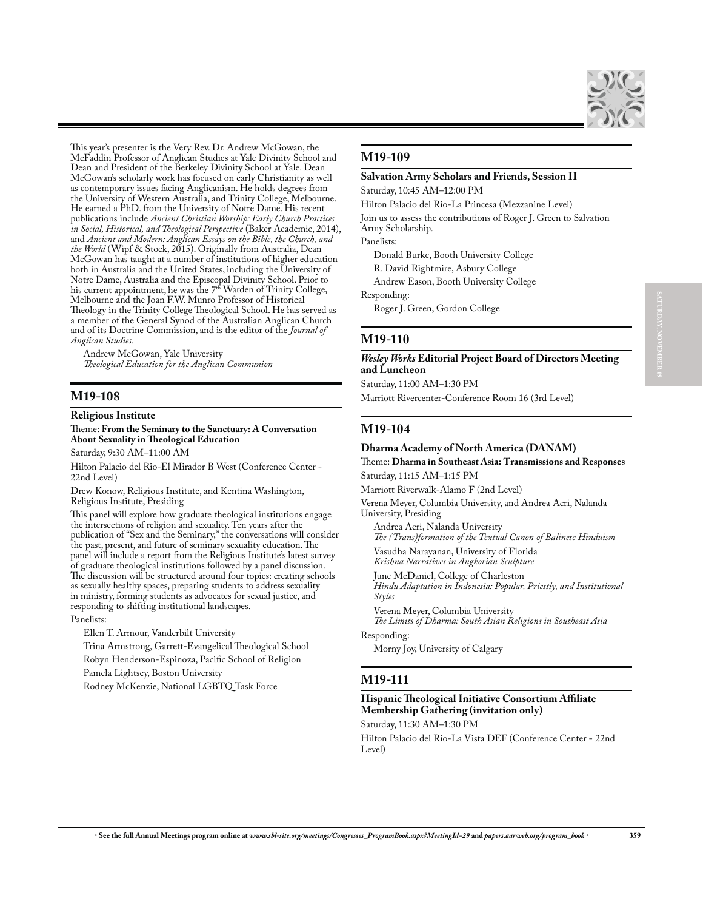

This year's presenter is the Very Rev. Dr. Andrew McGowan, the McFaddin Professor of Anglican Studies at Yale Divinity School and Dean and President of the Berkeley Divinity School at Yale. Dean McGowan's scholarly work has focused on early Christianity as well as contemporary issues facing Anglicanism. He holds degrees from the University of Western Australia, and Trinity College, Melbourne. He earned a PhD. from the University of Notre Dame. His recent publications include *Ancient Christian Worship: Early Church Practices in Social, Historical, and Theological Perspective* (Baker Academic, 2014), and *Ancient and Modern: Anglican Essays on the Bible, the Church, and the World* (Wipf & Stock, 2015). Originally from Australia, Dean McGowan has taught at a number of institutions of higher education both in Australia and the United States, including the University of Notre Dame, Australia and the Episcopal Divinity School. Prior to his current appointment, he was the 7<sup>th</sup> Warden of Trinity College, Melbourne and the Joan F.W. Munro Professor of Historical Theology in the Trinity College Theological School. He has served as a member of the General Synod of the Australian Anglican Church and of its Doctrine Commission, and is the editor of the *Journal of Anglican Studies*.

Andrew McGowan, Yale University *Theological Education for the Anglican Communion*

## **M19-108**

**Religious Institute**

Theme: **From the Seminary to the Sanctuary: A Conversation About Sexuality in Theological Education**

Saturday, 9:30 AM–11:00 AM

Hilton Palacio del Rio-El Mirador B West (Conference Center - 22nd Level)

Drew Konow, Religious Institute, and Kentina Washington, Religious Institute, Presiding

This panel will explore how graduate theological institutions engage the intersections of religion and sexuality. Ten years after the publication of "Sex and the Seminary," the conversations will consider the past, present, and future of seminary sexuality education. The panel will include a report from the Religious Institute's latest survey of graduate theological institutions followed by a panel discussion. The discussion will be structured around four topics: creating schools as sexually healthy spaces, preparing students to address sexuality in ministry, forming students as advocates for sexual justice, and responding to shifting institutional landscapes.

Panelists:

Ellen T. Armour, Vanderbilt University

Trina Armstrong, Garrett-Evangelical Theological School Robyn Henderson-Espinoza, Pacific School of Religion

Pamela Lightsey, Boston University

Rodney McKenzie, National LGBTQ Task Force

## **M19-109**

### **Salvation Army Scholars and Friends, Session II**

Saturday, 10:45 AM–12:00 PM

Hilton Palacio del Rio-La Princesa (Mezzanine Level) Join us to assess the contributions of Roger J. Green to Salvation Army Scholarship. Panelists:

Donald Burke, Booth University College

R. David Rightmire, Asbury College

Andrew Eason, Booth University College

Responding:

Roger J. Green, Gordon College

### **M19-110**

*Wesley Works* **Editorial Project Board of Directors Meeting and Luncheon**

Saturday, 11:00 AM–1:30 PM

Marriott Rivercenter-Conference Room 16 (3rd Level)

### **M19-104**

### **Dharma Academy of North America (DANAM)**

### Theme: **Dharma in Southeast Asia: Transmissions and Responses** Saturday, 11:15 AM–1:15 PM

Marriott Riverwalk-Alamo F (2nd Level)

Verena Meyer, Columbia University, and Andrea Acri, Nalanda University, Presiding

Andrea Acri, Nalanda University *The (Trans)formation of the Textual Canon of Balinese Hinduism* Vasudha Narayanan, University of Florida

*Krishna Narratives in Angkorian Sculpture* June McDaniel, College of Charleston

*Hindu Adaptation in Indonesia: Popular, Priestly, and Institutional Styles*

Verena Meyer, Columbia University *The Limits of Dharma: South Asian Religions in Southeast Asia*

Responding:

Morny Joy, University of Calgary

### **M19-111**

### **Hispanic Theological Initiative Consortium Affiliate Membership Gathering (invitation only)**

Saturday, 11:30 AM–1:30 PM

Hilton Palacio del Rio-La Vista DEF (Conference Center - 22nd Level)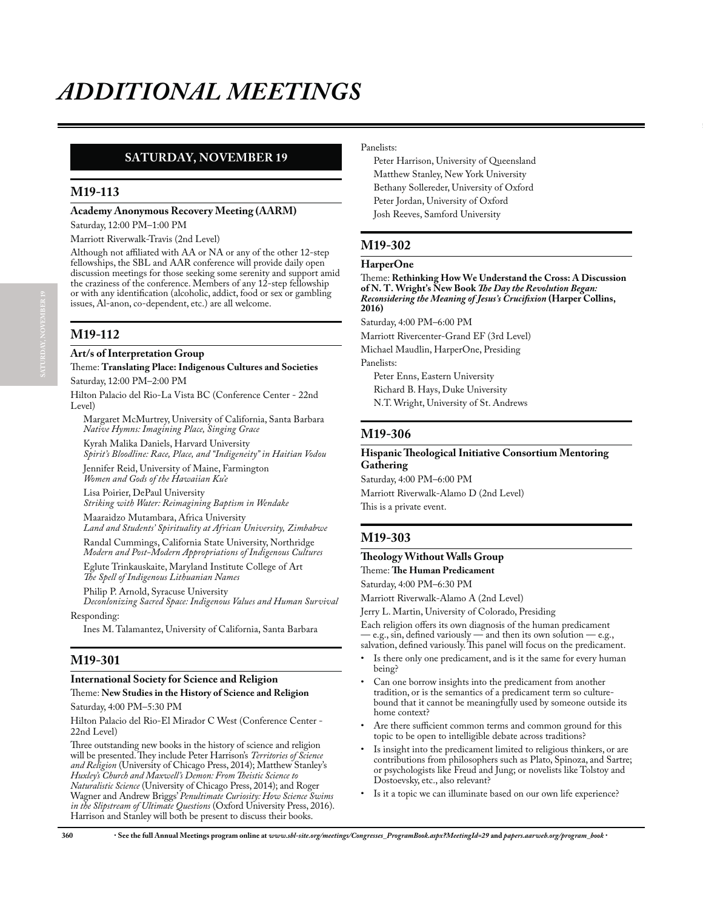# **SATURDAY, NOVEMBER 19**

### **M19-113**

### **Academy Anonymous Recovery Meeting (AARM)**

Saturday, 12:00 PM–1:00 PM

Marriott Riverwalk-Travis (2nd Level)

Although not affiliated with AA or NA or any of the other 12-step fellowships, the SBL and AAR conference will provide daily open discussion meetings for those seeking some serenity and support amid the craziness of the conference. Members of any 12-step fellowship or with any identification (alcoholic, addict, food or sex or gambling issues, Al-anon, co-dependent, etc.) are all welcome.

# **M19-112**

### **Art/s of Interpretation Group**

Theme: **Translating Place: Indigenous Cultures and Societies** Saturday, 12:00 PM–2:00 PM

Hilton Palacio del Rio-La Vista BC (Conference Center - 22nd Level)

Margaret McMurtrey, University of California, Santa Barbara *Native Hymns: Imagining Place, Singing Grace*

Kyrah Malika Daniels, Harvard University *Spirit's Bloodline: Race, Place, and "Indigeneity" in Haitian Vodou*

Jennifer Reid, University of Maine, Farmington *Women and Gods of the Hawaiian Ku'e*

Lisa Poirier, DePaul University *Striking with Water: Reimagining Baptism in Wendake*

Maaraidzo Mutambara, Africa University *Land and Students' Spirituality at African University, Zimbabwe*

Randal Cummings, California State University, Northridge *Modern and Post-Modern Appropriations of Indigenous Cultures* Eglute Trinkauskaite, Maryland Institute College of Art

*The Spell of Indigenous Lithuanian Names*

Philip P. Arnold, Syracuse University *Deconlonizing Sacred Space: Indigenous Values and Human Survival*

Responding:

Ines M. Talamantez, University of California, Santa Barbara

## **M19-301**

### **International Society for Science and Religion**

Theme: **New Studies in the History of Science and Religion**

Saturday, 4:00 PM–5:30 PM

Hilton Palacio del Rio-El Mirador C West (Conference Center - 22nd Level)

Three outstanding new books in the history of science and religion will be presented. They include Peter Harrison's *Territories of Science and Religion* (University of Chicago Press, 2014); Matthew Stanley's *Huxley's Church and Maxwell's Demon: From Theistic Science to Naturalistic Science* (University of Chicago Press, 2014); and Roger Wagner and Andrew Briggs' *Penultimate Curiosity: How Science Swims in the Slipstream of Ultimate Questions* (Oxford University Press, 2016). Harrison and Stanley will both be present to discuss their books.

### Panelists:

Peter Harrison, University of Queensland Matthew Stanley, New York University Bethany Sollereder, University of Oxford Peter Jordan, University of Oxford Josh Reeves, Samford University

# **M19-302**

### **HarperOne**

Theme: **Rethinking How We Understand the Cross: A Discussion of N. T. Wright's New Book** *The Day the Revolution Began: Reconsidering the Meaning of Jesus's Crucifixion* **(Harper Collins, 2016)**

Saturday, 4:00 PM–6:00 PM

Marriott Rivercenter-Grand EF (3rd Level)

Michael Maudlin, HarperOne, Presiding

Panelists: Peter Enns, Eastern University Richard B. Hays, Duke University N.T. Wright, University of St. Andrews

### **M19-306**

### **Hispanic Theological Initiative Consortium Mentoring Gathering**

Saturday, 4:00 PM–6:00 PM Marriott Riverwalk-Alamo D (2nd Level) This is a private event.

# **M19-303**

### **Theology Without Walls Group** Theme: **The Human Predicament**

Saturday, 4:00 PM–6:30 PM

Marriott Riverwalk-Alamo A (2nd Level)

Jerry L. Martin, University of Colorado, Presiding

Each religion offers its own diagnosis of the human predicament — e.g., sin, defined variously — and then its own solution — e.g., salvation, defined variously. This panel will focus on the predicament.

- Is there only one predicament, and is it the same for every human being?
- Can one borrow insights into the predicament from another tradition, or is the semantics of a predicament term so culturebound that it cannot be meaningfully used by someone outside its home context?
- Are there sufficient common terms and common ground for this topic to be open to intelligible debate across traditions?
- Is insight into the predicament limited to religious thinkers, or are contributions from philosophers such as Plato, Spinoza, and Sartre; or psychologists like Freud and Jung; or novelists like Tolstoy and Dostoevsky, etc., also relevant?
- Is it a topic we can illuminate based on our own life experience?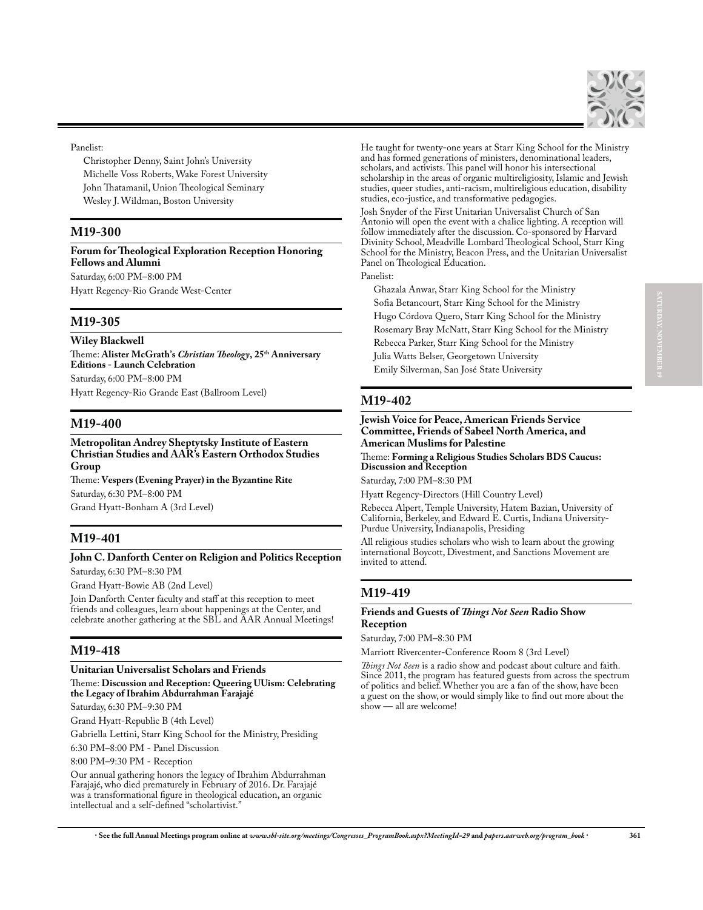

Panelist:

Christopher Denny, Saint John's University Michelle Voss Roberts, Wake Forest University John Thatamanil, Union Theological Seminary Wesley J. Wildman, Boston University

## **M19-300**

**Forum for Theological Exploration Reception Honoring Fellows and Alumni** Saturday, 6:00 PM–8:00 PM

Hyatt Regency-Rio Grande West-Center

## **M19-305**

**Wiley Blackwell**

Theme: **Alister McGrath's** *Christian Theology***, 25th Anniversary Editions - Launch Celebration** Saturday, 6:00 PM–8:00 PM Hyatt Regency-Rio Grande East (Ballroom Level)

## **M19-400**

**Metropolitan Andrey Sheptytsky Institute of Eastern Christian Studies and AAR's Eastern Orthodox Studies Group**

Theme: **Vespers (Evening Prayer) in the Byzantine Rite** Saturday, 6:30 PM–8:00 PM Grand Hyatt-Bonham A (3rd Level)

## **M19-401**

## **John C. Danforth Center on Religion and Politics Reception** Saturday, 6:30 PM–8:30 PM

Grand Hyatt-Bowie AB (2nd Level)

Join Danforth Center faculty and staff at this reception to meet friends and colleagues, learn about happenings at the Center, and celebrate another gathering at the SBL and AAR Annual Meetings!

## **M19-418**

### **Unitarian Universalist Scholars and Friends**

Theme: **Discussion and Reception: Queering UUism: Celebrating the Legacy of Ibrahim Abdurrahman Farajajé**

Saturday, 6:30 PM–9:30 PM

Grand Hyatt-Republic B (4th Level)

Gabriella Lettini, Starr King School for the Ministry, Presiding

6:30 PM–8:00 PM - Panel Discussion

8:00 PM–9:30 PM - Reception

Our annual gathering honors the legacy of Ibrahim Abdurrahman Farajajé, who died prematurely in February of 2016. Dr. Farajajé was a transformational figure in theological education, an organic intellectual and a self-defined "scholartivist."

He taught for twenty-one years at Starr King School for the Ministry and has formed generations of ministers, denominational leaders, scholars, and activists. This panel will honor his intersectional scholarship in the areas of organic multireligiosity, Islamic and Jewish studies, queer studies, anti-racism, multireligious education, disability studies, eco-justice, and transformative pedagogies.

Josh Snyder of the First Unitarian Universalist Church of San Antonio will open the event with a chalice lighting. A reception will follow immediately after the discussion. Co-sponsored by Harvard Divinity School, Meadville Lombard Theological School, Starr King School for the Ministry, Beacon Press, and the Unitarian Universalist Panel on Theological Education.

### Panelist:

Ghazala Anwar, Starr King School for the Ministry Sofia Betancourt, Starr King School for the Ministry Hugo Córdova Quero, Starr King School for the Ministry Rosemary Bray McNatt, Starr King School for the Ministry Rebecca Parker, Starr King School for the Ministry Julia Watts Belser, Georgetown University Emily Silverman, San José State University

# **M19-402**

### **Jewish Voice for Peace, American Friends Service Committee, Friends of Sabeel North America, and American Muslims for Palestine**

Theme: **Forming a Religious Studies Scholars BDS Caucus: Discussion and Reception**

Saturday, 7:00 PM–8:30 PM

Hyatt Regency-Directors (Hill Country Level)

Rebecca Alpert, Temple University, Hatem Bazian, University of California, Berkeley, and Edward E. Curtis, Indiana University-Purdue University, Indianapolis, Presiding

All religious studies scholars who wish to learn about the growing international Boycott, Divestment, and Sanctions Movement are invited to attend.

# **M19-419**

### **Friends and Guests of** *Things Not Seen* **Radio Show Reception**

Saturday, 7:00 PM–8:30 PM

Marriott Rivercenter-Conference Room 8 (3rd Level)

*Things Not Seen* is a radio show and podcast about culture and faith. Since 2011, the program has featured guests from across the spectrum of politics and belief. Whether you are a fan of the show, have been a guest on the show, or would simply like to find out more about the show — all are welcome!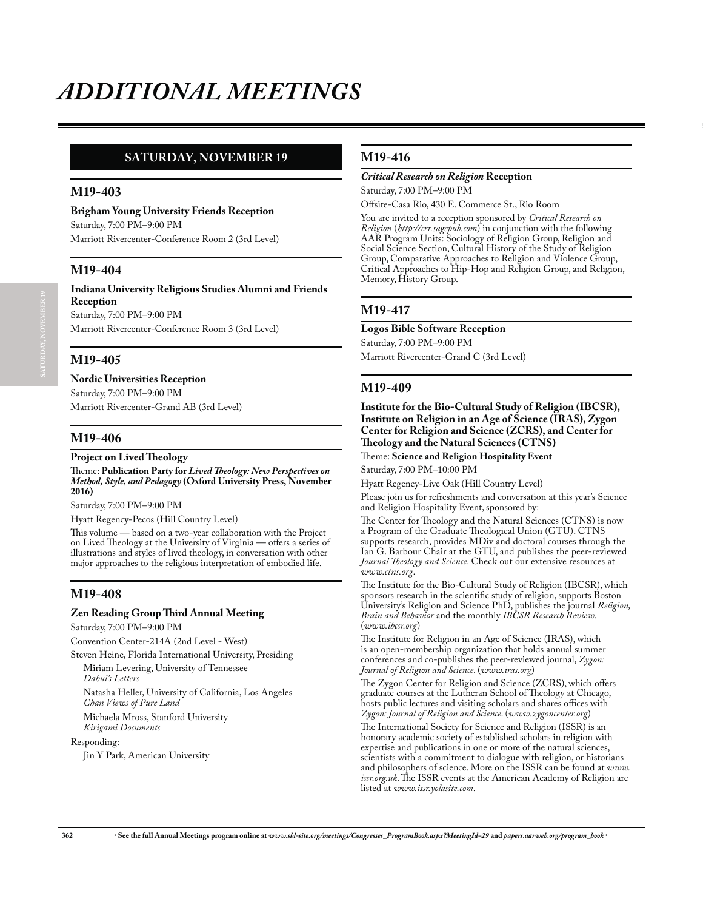# **SATURDAY, NOVEMBER 19**

### **M19-403**

**Brigham Young University Friends Reception** Saturday, 7:00 PM–9:00 PM

Marriott Rivercenter-Conference Room 2 (3rd Level)

### **M19-404**

**Indiana University Religious Studies Alumni and Friends Reception** Saturday, 7:00 PM–9:00 PM

Marriott Rivercenter-Conference Room 3 (3rd Level)

## **M19-405**

**Nordic Universities Reception**

Saturday, 7:00 PM–9:00 PM Marriott Rivercenter-Grand AB (3rd Level)

## **M19-406**

### **Project on Lived Theology**

Theme: **Publication Party for** *Lived Theology: New Perspectives on Method, Style, and Pedagogy* **(Oxford University Press, November 2016)**

Saturday, 7:00 PM–9:00 PM

Hyatt Regency-Pecos (Hill Country Level)

This volume — based on a two-year collaboration with the Project on Lived Theology at the University of Virginia — offers a series of illustrations and styles of lived theology, in conversation with other major approaches to the religious interpretation of embodied life.

## **M19-408**

### **Zen Reading Group Third Annual Meeting**

Saturday, 7:00 PM–9:00 PM

Convention Center-214A (2nd Level - West)

Steven Heine, Florida International University, Presiding

Miriam Levering, University of Tennessee *Dahui's Letters*

Natasha Heller, University of California, Los Angeles *Chan Views of Pure Land*

Michaela Mross, Stanford University *Kirigami Documents*

### Responding:

Jin Y Park, American University

## **M19-416**

### *Critical Research on Religion* **Reception**

Saturday, 7:00 PM–9:00 PM

Offsite-Casa Rio, 430 E. Commerce St., Rio Room

You are invited to a reception sponsored by *Critical Research on Religion* (*http://crr.sagepub.com*) in conjunction with the following AAR Program Units: Sociology of Religion Group, Religion and Social Science Section, Cultural History of the Study of Religion Group, Comparative Approaches to Religion and Violence Group, Critical Approaches to Hip-Hop and Religion Group, and Religion, Memory, History Group.

## **M19-417**

### **Logos Bible Software Reception**

Saturday, 7:00 PM–9:00 PM

Marriott Rivercenter-Grand C (3rd Level)

## **M19-409**

**Institute for the Bio-Cultural Study of Religion (IBCSR), Institute on Religion in an Age of Science (IRAS), Zygon Center for Religion and Science (ZCRS), and Center for Theology and the Natural Sciences (CTNS)**

Theme: **Science and Religion Hospitality Event**

Saturday, 7:00 PM–10:00 PM

Hyatt Regency-Live Oak (Hill Country Level)

Please join us for refreshments and conversation at this year's Science and Religion Hospitality Event, sponsored by:

The Center for Theology and the Natural Sciences (CTNS) is now a Program of the Graduate Theological Union (GTU). CTNS supports research, provides MDiv and doctoral courses through the Ian G. Barbour Chair at the GTU, and publishes the peer-reviewed *Journal Theology and Science*. Check out our extensive resources at *www.ctns.org*.

The Institute for the Bio-Cultural Study of Religion (IBCSR), which sponsors research in the scientific study of religion, supports Boston University's Religion and Science PhD, publishes the journal *Religion, Brain and Behavior* and the monthly *IBCSR Research Review*. (*www.ibcsr.org*)

The Institute for Religion in an Age of Science (IRAS), which is an open-membership organization that holds annual summer conferences and co-publishes the peer-reviewed journal, *Zygon: Journal of Religion and Science*. (*www.iras.org*)

The Zygon Center for Religion and Science (ZCRS), which offers graduate courses at the Lutheran School of Theology at Chicago, hosts public lectures and visiting scholars and shares offices with *Zygon: Journal of Religion and Science*. (*www.zygoncenter.org*)

The International Society for Science and Religion (ISSR) is an honorary academic society of established scholars in religion with expertise and publications in one or more of the natural sciences, scientists with a commitment to dialogue with religion, or historians and philosophers of science. More on the ISSR can be found at *www. issr.org.uk*. The ISSR events at the American Academy of Religion are listed at *www.issr.yolasite.com*.

**SATURDAY, NOVEMBER 19**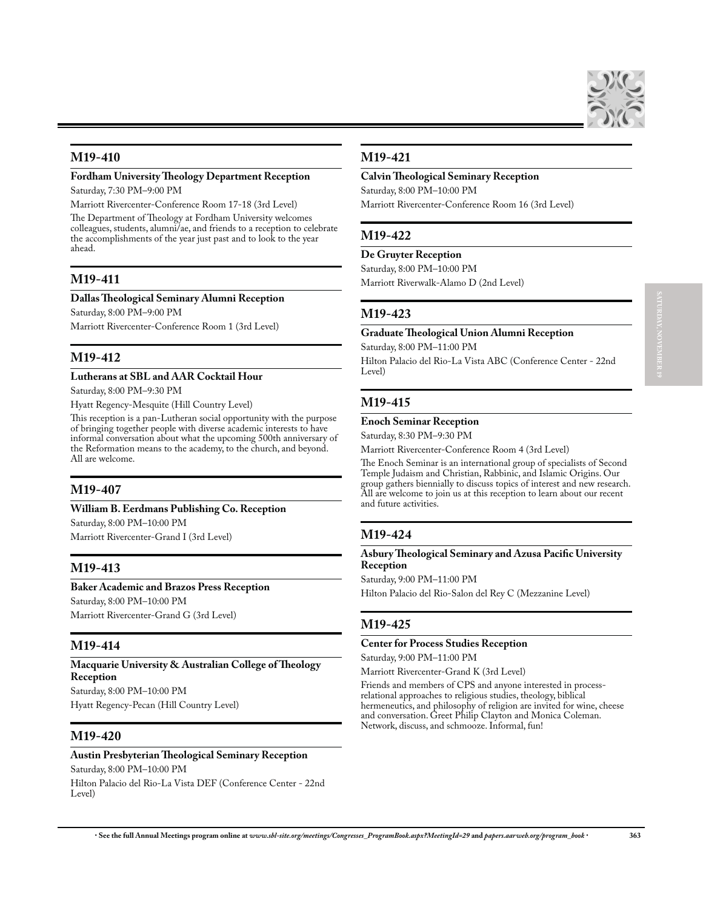

## **M19-410**

# **Fordham University Theology Department Reception**

Saturday, 7:30 PM–9:00 PM

Marriott Rivercenter-Conference Room 17-18 (3rd Level)

The Department of Theology at Fordham University welcomes colleagues, students, alumni/ae, and friends to a reception to celebrate the accomplishments of the year just past and to look to the year ahead.

## **M19-411**

### **Dallas Theological Seminary Alumni Reception**

Saturday, 8:00 PM–9:00 PM

Marriott Rivercenter-Conference Room 1 (3rd Level)

## **M19-412**

### **Lutherans at SBL and AAR Cocktail Hour**

Saturday, 8:00 PM–9:30 PM

Hyatt Regency-Mesquite (Hill Country Level)

This reception is a pan-Lutheran social opportunity with the purpose of bringing together people with diverse academic interests to have informal conversation about what the upcoming 500th anniversary of the Reformation means to the academy, to the church, and beyond. All are welcome.

# **M19-407**

### **William B. Eerdmans Publishing Co. Reception**

Saturday, 8:00 PM–10:00 PM Marriott Rivercenter-Grand I (3rd Level)

## **M19-413**

### **Baker Academic and Brazos Press Reception**

Saturday, 8:00 PM–10:00 PM Marriott Rivercenter-Grand G (3rd Level)

### **M19-414**

**Macquarie University & Australian College of Theology Reception** Saturday, 8:00 PM–10:00 PM

Hyatt Regency-Pecan (Hill Country Level)

## **M19-420**

### **Austin Presbyterian Theological Seminary Reception**

Saturday, 8:00 PM–10:00 PM Hilton Palacio del Rio-La Vista DEF (Conference Center - 22nd Level)

## **M19-421**

### **Calvin Theological Seminary Reception**

Saturday, 8:00 PM–10:00 PM Marriott Rivercenter-Conference Room 16 (3rd Level)

## **M19-422**

### **De Gruyter Reception**

Saturday, 8:00 PM–10:00 PM

Marriott Riverwalk-Alamo D (2nd Level)

### **M19-423**

### **Graduate Theological Union Alumni Reception**

Saturday, 8:00 PM–11:00 PM

Hilton Palacio del Rio-La Vista ABC (Conference Center - 22nd Level)

## **M19-415**

### **Enoch Seminar Reception**

Saturday, 8:30 PM–9:30 PM

Marriott Rivercenter-Conference Room 4 (3rd Level)

The Enoch Seminar is an international group of specialists of Second Temple Judaism and Christian, Rabbinic, and Islamic Origins. Our group gathers biennially to discuss topics of interest and new research. All are welcome to join us at this reception to learn about our recent and future activities.

# **M19-424**

**Asbury Theological Seminary and Azusa Pacific University Reception**

Saturday, 9:00 PM–11:00 PM

Hilton Palacio del Rio-Salon del Rey C (Mezzanine Level)

## **M19-425**

## **Center for Process Studies Reception**

Saturday, 9:00 PM–11:00 PM

Marriott Rivercenter-Grand K (3rd Level)

Friends and members of CPS and anyone interested in processrelational approaches to religious studies, theology, biblical hermeneutics, and philosophy of religion are invited for wine, cheese and conversation. Greet Philip Clayton and Monica Coleman. Network, discuss, and schmooze. Informal, fun!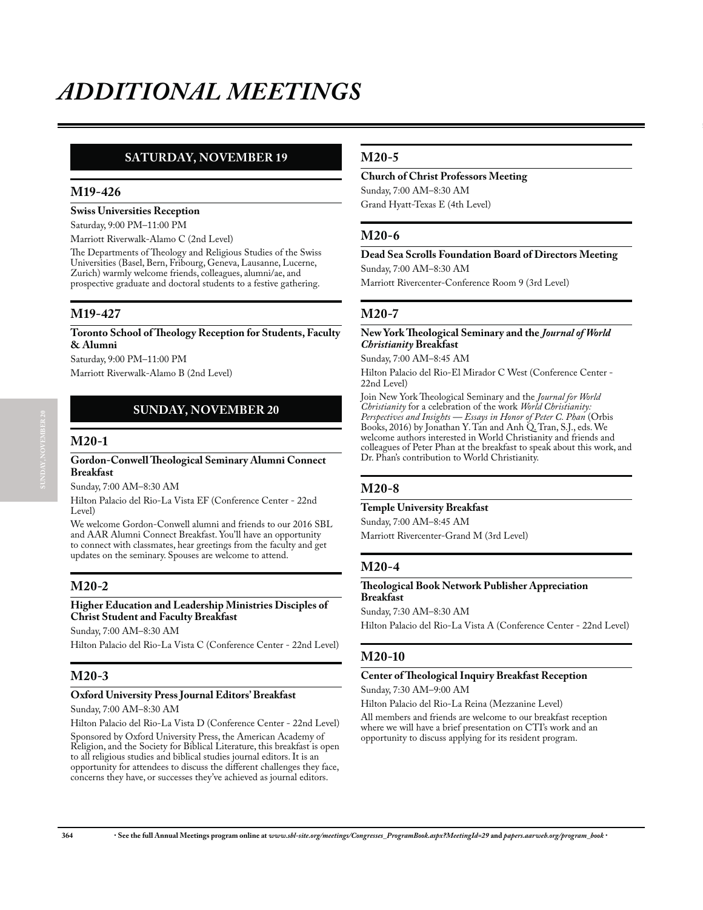# **SUNDAY, NOVEMBER 20 SATURDAY, NOVEMBER 19**

## **M19-426**

## **Swiss Universities Reception**

Saturday, 9:00 PM–11:00 PM

Marriott Riverwalk-Alamo C (2nd Level)

The Departments of Theology and Religious Studies of the Swiss Universities (Basel, Bern, Fribourg, Geneva, Lausanne, Lucerne, Zurich) warmly welcome friends, colleagues, alumni/ae, and prospective graduate and doctoral students to a festive gathering.

## **M19-427**

### **Toronto School of Theology Reception for Students, Faculty & Alumni**

Saturday, 9:00 PM–11:00 PM Marriott Riverwalk-Alamo B (2nd Level)

## **SUNDAY, NOVEMBER 20**

### **M20-1**

### **Gordon-Conwell Theological Seminary Alumni Connect Breakfast**

Sunday, 7:00 AM–8:30 AM

Hilton Palacio del Rio-La Vista EF (Conference Center - 22nd Level)

We welcome Gordon-Conwell alumni and friends to our 2016 SBL and AAR Alumni Connect Breakfast. You'll have an opportunity to connect with classmates, hear greetings from the faculty and get updates on the seminary. Spouses are welcome to attend.

# **M20-2**

### **Higher Education and Leadership Ministries Disciples of Christ Student and Faculty Breakfast**

Sunday, 7:00 AM–8:30 AM

Hilton Palacio del Rio-La Vista C (Conference Center - 22nd Level)

# **M20-3**

### **Oxford University Press Journal Editors' Breakfast**

Sunday, 7:00 AM–8:30 AM

Hilton Palacio del Rio-La Vista D (Conference Center - 22nd Level) Sponsored by Oxford University Press, the American Academy of Religion, and the Society for Biblical Literature, this breakfast is open to all religious studies and biblical studies journal editors. It is an opportunity for attendees to discuss the different challenges they face, concerns they have, or successes they've achieved as journal editors.

## **M20-5**

### **Church of Christ Professors Meeting**

Sunday, 7:00 AM–8:30 AM Grand Hyatt-Texas E (4th Level)

## **M20-6**

## **Dead Sea Scrolls Foundation Board of Directors Meeting**

Sunday, 7:00 AM–8:30 AM

Marriott Rivercenter-Conference Room 9 (3rd Level)

## **M20-7**

### **New York Theological Seminary and the** *Journal of World Christianity* **Breakfast**

Sunday, 7:00 AM–8:45 AM

Hilton Palacio del Rio-El Mirador C West (Conference Center - 22nd Level)

Join New York Theological Seminary and the *Journal for World Christianity* for a celebration of the work *World Christianity: Perspectives and Insights — Essays in Honor of Peter C. Phan* (Orbis Books, 2016) by Jonathan Y. Tan and Anh Q. Tran, S.J., eds. We welcome authors interested in World Christianity and friends and colleagues of Peter Phan at the breakfast to speak about this work, and Dr. Phan's contribution to World Christianity.

## **M20-8**

### **Temple University Breakfast**

Sunday, 7:00 AM–8:45 AM Marriott Rivercenter-Grand M (3rd Level)

### **M20-4**

### **Theological Book Network Publisher Appreciation Breakfast**

Sunday, 7:30 AM–8:30 AM

Hilton Palacio del Rio-La Vista A (Conference Center - 22nd Level)

## **M20-10**

### **Center of Theological Inquiry Breakfast Reception**

Sunday, 7:30 AM–9:00 AM

Hilton Palacio del Rio-La Reina (Mezzanine Level)

All members and friends are welcome to our breakfast reception where we will have a brief presentation on CTI's work and an opportunity to discuss applying for its resident program.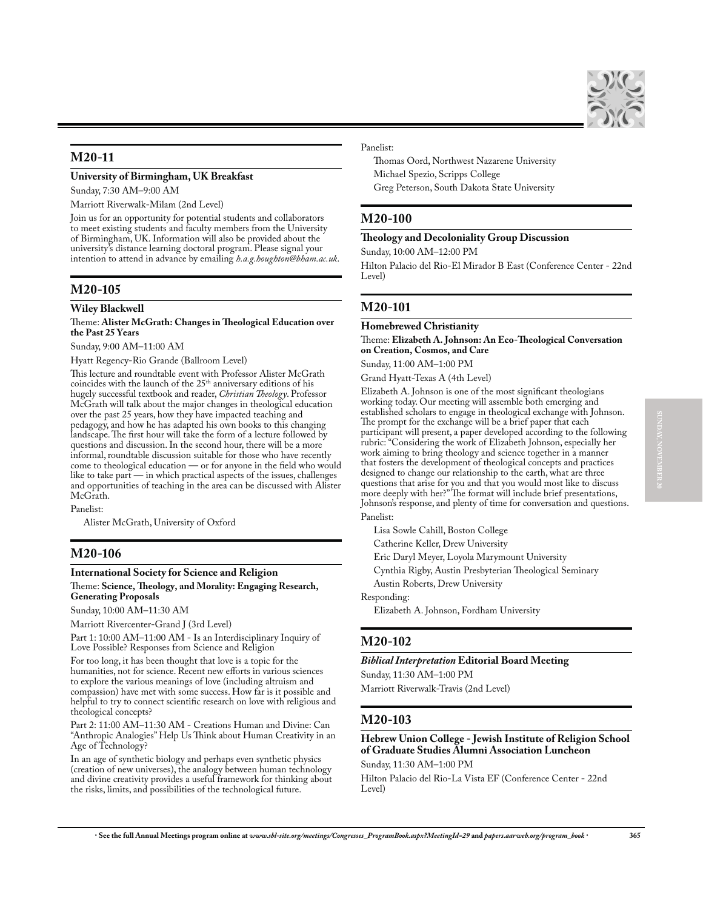

## **M20-11**

### **University of Birmingham, UK Breakfast**

Sunday, 7:30 AM–9:00 AM

Marriott Riverwalk-Milam (2nd Level)

Join us for an opportunity for potential students and collaborators to meet existing students and faculty members from the University of Birmingham, UK. Information will also be provided about the university's distance learning doctoral program. Please signal your intention to attend in advance by emailing *h.a.g.houghton@bham.ac.uk*.

### **M20-105**

### **Wiley Blackwell**

### Theme: **Alister McGrath: Changes in Theological Education over the Past 25 Years**

Sunday, 9:00 AM–11:00 AM

Hyatt Regency-Rio Grande (Ballroom Level)

This lecture and roundtable event with Professor Alister McGrath coincides with the launch of the 25<sup>th</sup> anniversary editions of his hugely successful textbook and reader, *Christian Theology*. Professor McGrath will talk about the major changes in theological education over the past 25 years, how they have impacted teaching and pedagogy, and how he has adapted his own books to this changing landscape. The first hour will take the form of a lecture followed by questions and discussion. In the second hour, there will be a more informal, roundtable discussion suitable for those who have recently come to theological education — or for anyone in the field who would like to take part — in which practical aspects of the issues, challenges and opportunities of teaching in the area can be discussed with Alister McGrath.

Panelist:

Alister McGrath, University of Oxford

## **M20-106**

### **International Society for Science and Religion**

### Theme: **Science, Theology, and Morality: Engaging Research, Generating Proposals**

Sunday, 10:00 AM–11:30 AM

Marriott Rivercenter-Grand J (3rd Level)

Part 1: 10:00 AM–11:00 AM - Is an Interdisciplinary Inquiry of Love Possible? Responses from Science and Religion

For too long, it has been thought that love is a topic for the humanities, not for science. Recent new efforts in various sciences to explore the various meanings of love (including altruism and compassion) have met with some success. How far is it possible and helpful to try to connect scientific research on love with religious and theological concepts?

Part 2: 11:00 AM–11:30 AM - Creations Human and Divine: Can "Anthropic Analogies" Help Us Think about Human Creativity in an Age of Technology?

In an age of synthetic biology and perhaps even synthetic physics (creation of new universes), the analogy between human technology and divine creativity provides a useful framework for thinking about the risks, limits, and possibilities of the technological future.

### Panelist:

Thomas Oord, Northwest Nazarene University Michael Spezio, Scripps College Greg Peterson, South Dakota State University

## **M20-100**

### **Theology and Decoloniality Group Discussion**

Sunday, 10:00 AM–12:00 PM

Hilton Palacio del Rio-El Mirador B East (Conference Center - 22nd Level)

## **M20-101**

### **Homebrewed Christianity**

Theme: **Elizabeth A. Johnson: An Eco-Theological Conversation on Creation, Cosmos, and Care**

Sunday, 11:00 AM–1:00 PM

Grand Hyatt-Texas A (4th Level)

Elizabeth A. Johnson is one of the most significant theologians working today. Our meeting will assemble both emerging and established scholars to engage in theological exchange with Johnson. The prompt for the exchange will be a brief paper that each participant will present, a paper developed according to the following rubric: "Considering the work of Elizabeth Johnson, especially her work aiming to bring theology and science together in a manner that fosters the development of theological concepts and practices designed to change our relationship to the earth, what are three questions that arise for you and that you would most like to discuss more deeply with her?" The format will include brief presentations, Johnson's response, and plenty of time for conversation and questions. Panelist:

Lisa Sowle Cahill, Boston College

Catherine Keller, Drew University

Eric Daryl Meyer, Loyola Marymount University

Cynthia Rigby, Austin Presbyterian Theological Seminary

Austin Roberts, Drew University

Responding:

Elizabeth A. Johnson, Fordham University

### **M20-102**

### *Biblical Interpretation* **Editorial Board Meeting**

Sunday, 11:30 AM–1:00 PM

Marriott Riverwalk-Travis (2nd Level)

### **M20-103**

## **Hebrew Union College - Jewish Institute of Religion School of Graduate Studies Alumni Association Luncheon**

Sunday, 11:30 AM–1:00 PM

Hilton Palacio del Rio-La Vista EF (Conference Center - 22nd Level)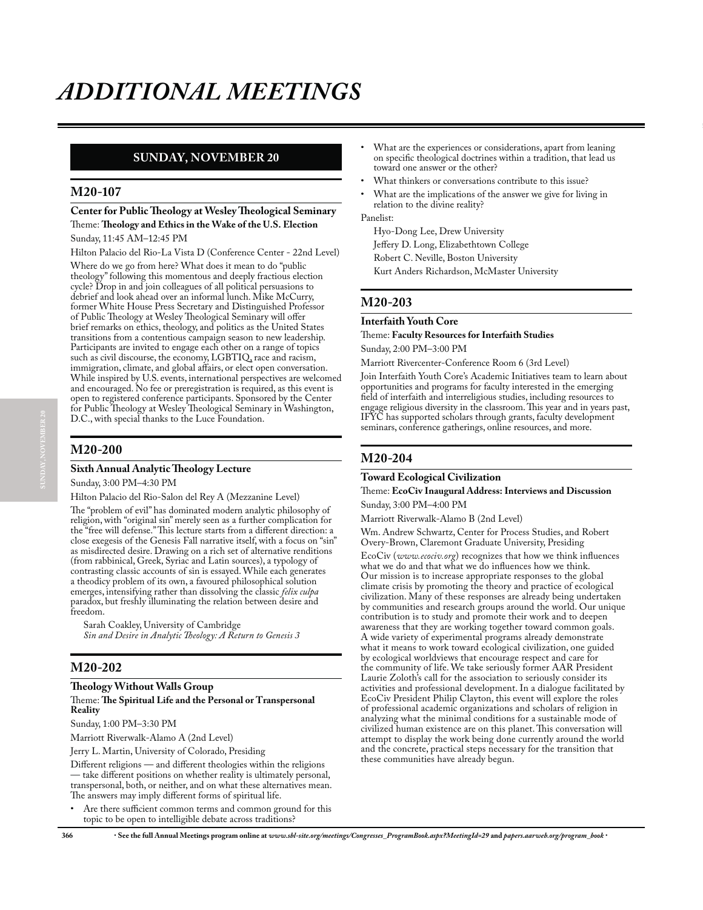# **SUNDAY, NOVEMBER 20**

### **M20-107**

## **Center for Public Theology at Wesley Theological Seminary** Theme: **Theology and Ethics in the Wake of the U.S. Election**

Sunday, 11:45 AM–12:45 PM

Hilton Palacio del Rio-La Vista D (Conference Center - 22nd Level) Where do we go from here? What does it mean to do "public theology" following this momentous and deeply fractious election cycle? Drop in and join colleagues of all political persuasions to debrief and look ahead over an informal lunch. Mike McCurry, former White House Press Secretary and Distinguished Professor of Public Theology at Wesley Theological Seminary will offer brief remarks on ethics, theology, and politics as the United States transitions from a contentious campaign season to new leadership. Participants are invited to engage each other on a range of topics such as civil discourse, the economy, LGBTIQ, race and racism, immigration, climate, and global affairs, or elect open conversation. While inspired by U.S. events, international perspectives are welcomed and encouraged. No fee or preregistration is required, as this event is open to registered conference participants. Sponsored by the Center for Public Theology at Wesley Theological Seminary in Washington, D.C., with special thanks to the Luce Foundation.

# **M20-200**

### **Sixth Annual Analytic Theology Lecture**

Sunday, 3:00 PM–4:30 PM

Hilton Palacio del Rio-Salon del Rey A (Mezzanine Level)

The "problem of evil" has dominated modern analytic philosophy of religion, with "original sin" merely seen as a further complication for the "free will defense." This lecture starts from a different direction: a close exegesis of the Genesis Fall narrative itself, with a focus on "sin" as misdirected desire. Drawing on a rich set of alternative renditions (from rabbinical, Greek, Syriac and Latin sources), a typology of contrasting classic accounts of sin is essayed. While each generates a theodicy problem of its own, a favoured philosophical solution emerges, intensifying rather than dissolving the classic *felix culpa* paradox, but freshly illuminating the relation between desire and freedom.

Sarah Coakley, University of Cambridge *Sin and Desire in Analytic Theology: A Return to Genesis 3*

# **M20-202**

#### **Theology Without Walls Group** Theme: **The Spiritual Life and the Personal or Transpersonal Reality**

Sunday, 1:00 PM–3:30 PM

Marriott Riverwalk-Alamo A (2nd Level)

Jerry L. Martin, University of Colorado, Presiding

Different religions — and different theologies within the religions — take different positions on whether reality is ultimately personal, transpersonal, both, or neither, and on what these alternatives mean. The answers may imply different forms of spiritual life.

Are there sufficient common terms and common ground for this topic to be open to intelligible debate across traditions?

- What are the experiences or considerations, apart from leaning on specific theological doctrines within a tradition, that lead us toward one answer or the other?
- What thinkers or conversations contribute to this issue?
- What are the implications of the answer we give for living in relation to the divine reality?

Panelist:

Hyo-Dong Lee, Drew University Jeffery D. Long, Elizabethtown College Robert C. Neville, Boston University Kurt Anders Richardson, McMaster University

## **M20-203**

### **Interfaith Youth Core**

Theme: **Faculty Resources for Interfaith Studies**

Sunday, 2:00 PM–3:00 PM

Marriott Rivercenter-Conference Room 6 (3rd Level)

Join Interfaith Youth Core's Academic Initiatives team to learn about opportunities and programs for faculty interested in the emerging field of interfaith and interreligious studies, including resources to engage religious diversity in the classroom. This year and in years past, IFYC has supported scholars through grants, faculty development seminars, conference gatherings, online resources, and more.

## **M20-204**

### **Toward Ecological Civilization**

### Theme: **EcoCiv Inaugural Address: Interviews and Discussion** Sunday, 3:00 PM–4:00 PM

Marriott Riverwalk-Alamo B (2nd Level)

Wm. Andrew Schwartz, Center for Process Studies, and Robert Overy-Brown, Claremont Graduate University, Presiding

EcoCiv (*www.ecociv.org*) recognizes that how we think influences what we do and that what we do influences how we think. Our mission is to increase appropriate responses to the global climate crisis by promoting the theory and practice of ecological civilization. Many of these responses are already being undertaken by communities and research groups around the world. Our unique contribution is to study and promote their work and to deepen awareness that they are working together toward common goals. A wide variety of experimental programs already demonstrate what it means to work toward ecological civilization, one guided by ecological worldviews that encourage respect and care for the community of life. We take seriously former AAR President Laurie Zoloth's call for the association to seriously consider its activities and professional development. In a dialogue facilitated by EcoCiv President Philip Clayton, this event will explore the roles of professional academic organizations and scholars of religion in analyzing what the minimal conditions for a sustainable mode of civilized human existence are on this planet. This conversation will attempt to display the work being done currently around the world and the concrete, practical steps necessary for the transition that these communities have already begun.

**366** x **See the full Annual Meetings program online at** *www.sbl-site.org/meetings/Congresses\_ProgramBook.aspx?MeetingId=29* **and** *papers.aarweb.org/program\_book* x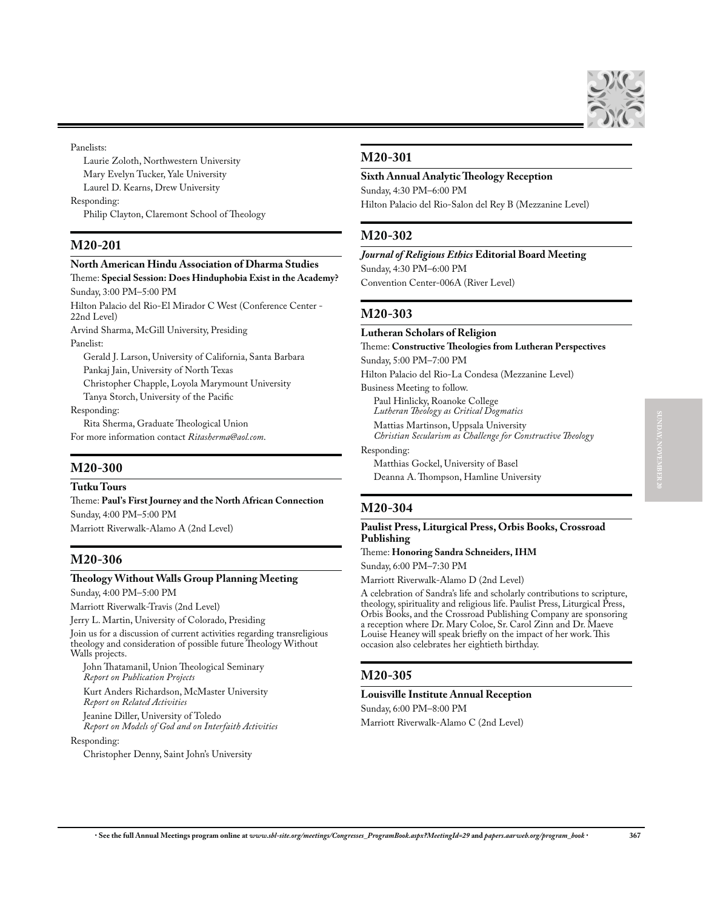

### Panelists:

Laurie Zoloth, Northwestern University Mary Evelyn Tucker, Yale University Laurel D. Kearns, Drew University Responding: Philip Clayton, Claremont School of Theology

# **M20-201**

### **North American Hindu Association of Dharma Studies** Theme: **Special Session: Does Hinduphobia Exist in the Academy?**

Sunday, 3:00 PM–5:00 PM

Hilton Palacio del Rio-El Mirador C West (Conference Center - 22nd Level)

Arvind Sharma, McGill University, Presiding Panelist:

Gerald J. Larson, University of California, Santa Barbara Pankaj Jain, University of North Texas Christopher Chapple, Loyola Marymount University Tanya Storch, University of the Pacific

Responding:

Rita Sherma, Graduate Theological Union For more information contact *Ritasherma@aol.com*.

## **M20-300**

**Tutku Tours**

Theme: **Paul's First Journey and the North African Connection** Sunday, 4:00 PM–5:00 PM Marriott Riverwalk-Alamo A (2nd Level)

# **M20-306**

### **Theology Without Walls Group Planning Meeting**

Sunday, 4:00 PM–5:00 PM

Marriott Riverwalk-Travis (2nd Level)

Jerry L. Martin, University of Colorado, Presiding

Join us for a discussion of current activities regarding transreligious theology and consideration of possible future Theology Without Walls projects.

John Thatamanil, Union Theological Seminary *Report on Publication Projects* Kurt Anders Richardson, McMaster University

*Report on Related Activities* Jeanine Diller, University of Toledo

*Report on Models of God and on Interfaith Activities*

Responding:

Christopher Denny, Saint John's University

## **M20-301**

## **Sixth Annual Analytic Theology Reception** Sunday, 4:30 PM–6:00 PM

Hilton Palacio del Rio-Salon del Rey B (Mezzanine Level)

# **M20-302**

*Journal of Religious Ethics* **Editorial Board Meeting** Sunday, 4:30 PM–6:00 PM Convention Center-006A (River Level)

# **M20-303**

### **Lutheran Scholars of Religion**

Theme: **Constructive Theologies from Lutheran Perspectives** Sunday, 5:00 PM–7:00 PM Hilton Palacio del Rio-La Condesa (Mezzanine Level) Business Meeting to follow. Paul Hinlicky, Roanoke College *Lutheran Theology as Critical Dogmatics* Mattias Martinson, Uppsala University *Christian Secularism as Challenge for Constructive Theology* Responding:

Matthias Gockel, University of Basel Deanna A. Thompson, Hamline University

# **M20-304**

## **Paulist Press, Liturgical Press, Orbis Books, Crossroad Publishing**

Theme: **Honoring Sandra Schneiders, IHM**

Sunday, 6:00 PM–7:30 PM

Marriott Riverwalk-Alamo D (2nd Level)

A celebration of Sandra's life and scholarly contributions to scripture, theology, spirituality and religious life. Paulist Press, Liturgical Press, Orbis Books, and the Crossroad Publishing Company are sponsoring a reception where Dr. Mary Coloe, Sr. Carol Zinn and Dr. Maeve Louise Heaney will speak briefly on the impact of her work. This occasion also celebrates her eightieth birthday.

# **M20-305**

### **Louisville Institute Annual Reception**

Sunday, 6:00 PM–8:00 PM

Marriott Riverwalk-Alamo C (2nd Level)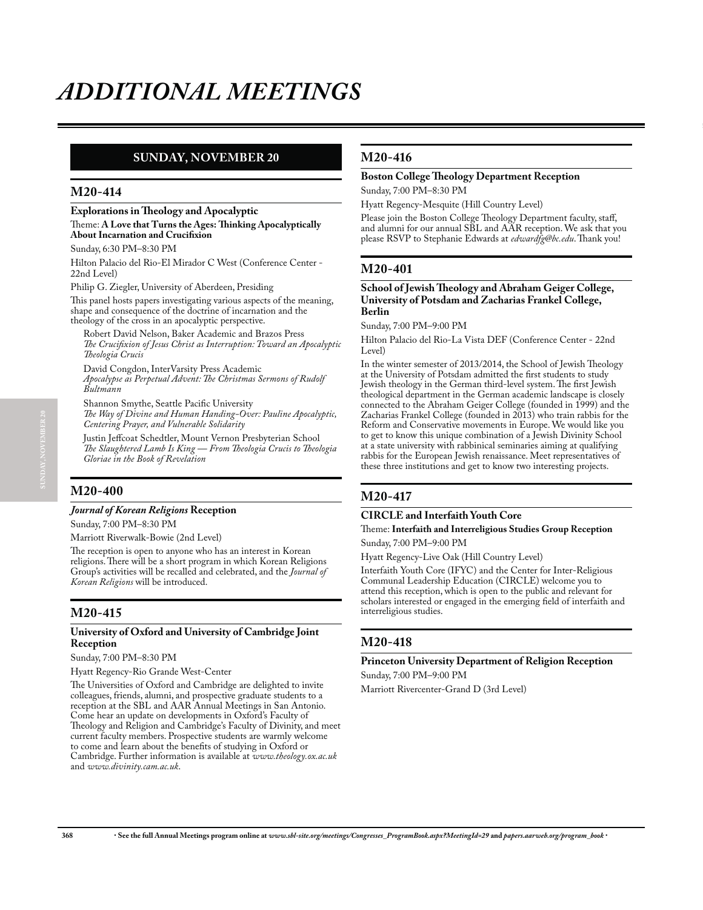# **SUNDAY, NOVEMBER 20**

### **M20-414**

### **Explorations in Theology and Apocalyptic** Theme: **A Love that Turns the Ages: Thinking Apocalyptically About Incarnation and Crucifixion**

Sunday, 6:30 PM–8:30 PM

Hilton Palacio del Rio-El Mirador C West (Conference Center - 22nd Level)

Philip G. Ziegler, University of Aberdeen, Presiding

This panel hosts papers investigating various aspects of the meaning, shape and consequence of the doctrine of incarnation and the theology of the cross in an apocalyptic perspective.

Robert David Nelson, Baker Academic and Brazos Press *The Crucifixion of Jesus Christ as Interruption: Toward an Apocalyptic Theologia Crucis*

David Congdon, InterVarsity Press Academic *Apocalypse as Perpetual Advent: The Christmas Sermons of Rudolf Bultmann*

Shannon Smythe, Seattle Pacific University *The Way of Divine and Human Handing-Over: Pauline Apocalyptic, Centering Prayer, and Vulnerable Solidarity*

Justin Jeffcoat Schedtler, Mount Vernon Presbyterian School *The Slaughtered Lamb Is King — From Theologia Crucis to Theologia Gloriae in the Book of Revelation*

# **M20-400**

### *Journal of Korean Religions* **Reception**

Sunday, 7:00 PM–8:30 PM

Marriott Riverwalk-Bowie (2nd Level)

The reception is open to anyone who has an interest in Korean religions. There will be a short program in which Korean Religions Group's activities will be recalled and celebrated, and the *Journal of Korean Religions* will be introduced.

## **M20-415**

### **University of Oxford and University of Cambridge Joint Reception**

### Sunday, 7:00 PM–8:30 PM

Hyatt Regency-Rio Grande West-Center

The Universities of Oxford and Cambridge are delighted to invite colleagues, friends, alumni, and prospective graduate students to a reception at the SBL and AAR Annual Meetings in San Antonio. Come hear an update on developments in Oxford's Faculty of Theology and Religion and Cambridge's Faculty of Divinity, and meet current faculty members. Prospective students are warmly welcome to come and learn about the benefits of studying in Oxford or Cambridge. Further information is available at *www.theology.ox.ac.uk* and *www.divinity.cam.ac.uk*.

## **M20-416**

## **Boston College Theology Department Reception**

Sunday, 7:00 PM–8:30 PM

Hyatt Regency-Mesquite (Hill Country Level)

Please join the Boston College Theology Department faculty, staff, and alumni for our annual SBL and AAR reception. We ask that you please RSVP to Stephanie Edwards at *edwardfg@bc.edu*. Thank you!

## **M20-401**

#### **School of Jewish Theology and Abraham Geiger College, University of Potsdam and Zacharias Frankel College, Berlin**

Sunday, 7:00 PM–9:00 PM

Hilton Palacio del Rio-La Vista DEF (Conference Center - 22nd Level)

In the winter semester of 2013/2014, the School of Jewish Theology at the University of Potsdam admitted the first students to study Jewish theology in the German third-level system. The first Jewish theological department in the German academic landscape is closely connected to the Abraham Geiger College (founded in 1999) and the Zacharias Frankel College (founded in 2013) who train rabbis for the Reform and Conservative movements in Europe. We would like you to get to know this unique combination of a Jewish Divinity School at a state university with rabbinical seminaries aiming at qualifying rabbis for the European Jewish renaissance. Meet representatives of these three institutions and get to know two interesting projects.

## **M20-417**

### **CIRCLE and Interfaith Youth Core**

### Theme: **Interfaith and Interreligious Studies Group Reception** Sunday, 7:00 PM–9:00 PM

Hyatt Regency-Live Oak (Hill Country Level)

Interfaith Youth Core (IFYC) and the Center for Inter-Religious Communal Leadership Education (CIRCLE) welcome you to attend this reception, which is open to the public and relevant for scholars interested or engaged in the emerging field of interfaith and interreligious studies.

## **M20-418**

### **Princeton University Department of Religion Reception**

Sunday, 7:00 PM–9:00 PM

Marriott Rivercenter-Grand D (3rd Level)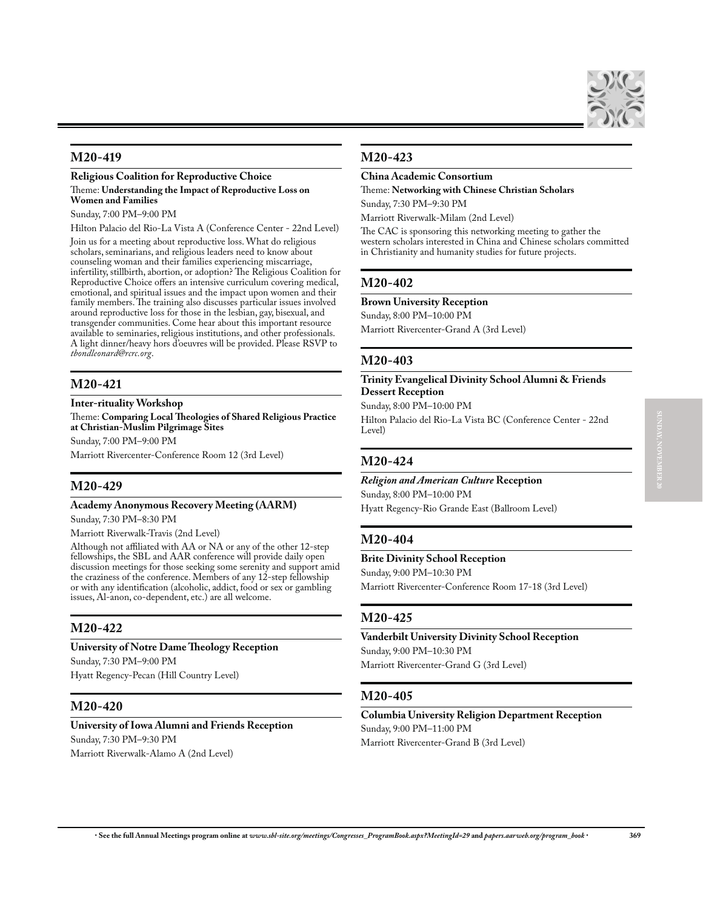

## **M20-419**

**Religious Coalition for Reproductive Choice** Theme: **Understanding the Impact of Reproductive Loss on Women and Families**

Sunday, 7:00 PM–9:00 PM

Hilton Palacio del Rio-La Vista A (Conference Center - 22nd Level)

Join us for a meeting about reproductive loss. What do religious scholars, seminarians, and religious leaders need to know about counseling woman and their families experiencing miscarriage, infertility, stillbirth, abortion, or adoption? The Religious Coalition for Reproductive Choice offers an intensive curriculum covering medical, emotional, and spiritual issues and the impact upon women and their family members. The training also discusses particular issues involved around reproductive loss for those in the lesbian, gay, bisexual, and transgender communities. Come hear about this important resource available to seminaries, religious institutions, and other professionals. A light dinner/heavy hors d'oeuvres will be provided. Please RSVP to *tbondleonard@rcrc.org*.

## **M20-421**

### **Inter-rituality Workshop**

Theme: **Comparing Local Theologies of Shared Religious Practice at Christian-Muslim Pilgrimage Sites**

Sunday, 7:00 PM–9:00 PM

Marriott Rivercenter-Conference Room 12 (3rd Level)

### **M20-429**

#### **Academy Anonymous Recovery Meeting (AARM)**

Sunday, 7:30 PM–8:30 PM

Marriott Riverwalk-Travis (2nd Level)

Although not affiliated with AA or NA or any of the other 12-step fellowships, the SBL and AAR conference will provide daily open discussion meetings for those seeking some serenity and support amid the craziness of the conference. Members of any 12-step fellowship or with any identification (alcoholic, addict, food or sex or gambling issues, Al-anon, co-dependent, etc.) are all welcome.

### **M20-422**

## **University of Notre Dame Theology Reception**

Sunday, 7:30 PM–9:00 PM

Hyatt Regency-Pecan (Hill Country Level)

### **M20-420**

### **University of Iowa Alumni and Friends Reception**

Sunday, 7:30 PM–9:30 PM Marriott Riverwalk-Alamo A (2nd Level)

### **M20-423**

### **China Academic Consortium**

Theme: **Networking with Chinese Christian Scholars** Sunday, 7:30 PM–9:30 PM

Marriott Riverwalk-Milam (2nd Level)

The CAC is sponsoring this networking meeting to gather the western scholars interested in China and Chinese scholars committed in Christianity and humanity studies for future projects.

### **M20-402**

**Brown University Reception**

Sunday, 8:00 PM–10:00 PM

Marriott Rivercenter-Grand A (3rd Level)

### **M20-403**

### **Trinity Evangelical Divinity School Alumni & Friends Dessert Reception**

Sunday, 8:00 PM–10:00 PM

Hilton Palacio del Rio-La Vista BC (Conference Center - 22nd Level)

### **M20-424**

## *Religion and American Culture* **Reception** Sunday, 8:00 PM–10:00 PM

Hyatt Regency-Rio Grande East (Ballroom Level)

### **M20-404**

### **Brite Divinity School Reception**

Sunday, 9:00 PM–10:30 PM

Marriott Rivercenter-Conference Room 17-18 (3rd Level)

### **M20-425**

**Vanderbilt University Divinity School Reception** Sunday, 9:00 PM–10:30 PM Marriott Rivercenter-Grand G (3rd Level)

### **M20-405**

**Columbia University Religion Department Reception** Sunday, 9:00 PM–11:00 PM Marriott Rivercenter-Grand B (3rd Level)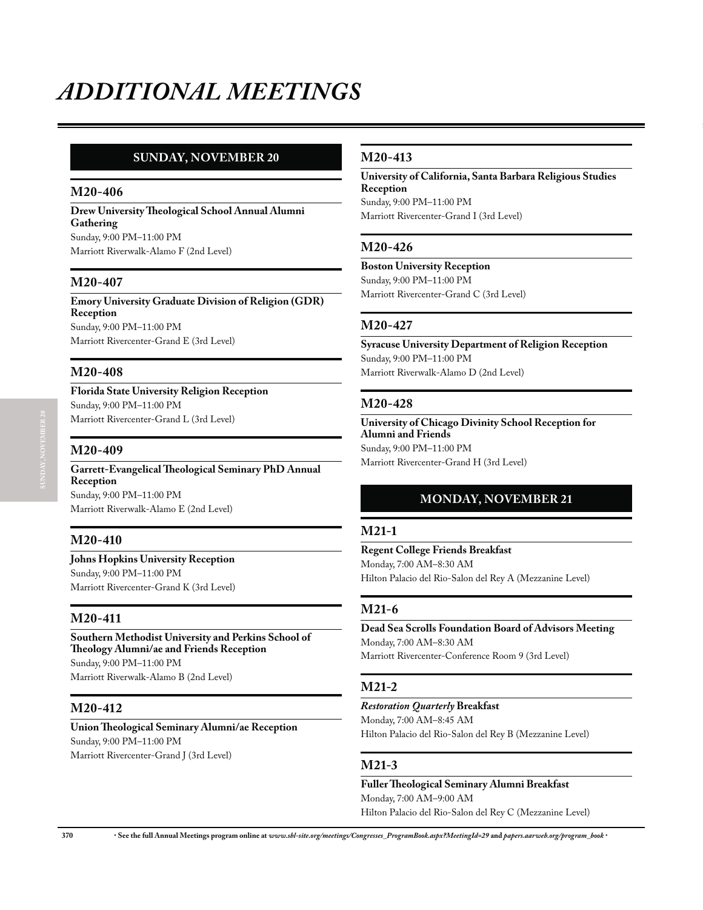# **SUNDAY, NOVEMBER 20**

## **M20-406**

**Drew University Theological School Annual Alumni Gathering** Sunday, 9:00 PM–11:00 PM Marriott Riverwalk-Alamo F (2nd Level)

## **M20-407**

**Emory University Graduate Division of Religion (GDR) Reception** Sunday, 9:00 PM–11:00 PM Marriott Rivercenter-Grand E (3rd Level)

## **M20-408**

**Florida State University Religion Reception** Sunday, 9:00 PM–11:00 PM Marriott Rivercenter-Grand L (3rd Level)

## **M20-409**

**Garrett-Evangelical Theological Seminary PhD Annual Reception** Sunday, 9:00 PM–11:00 PM Marriott Riverwalk-Alamo E (2nd Level)

## **M20-410**

**Johns Hopkins University Reception** Sunday, 9:00 PM–11:00 PM Marriott Rivercenter-Grand K (3rd Level)

## **M20-411**

**Southern Methodist University and Perkins School of Theology Alumni/ae and Friends Reception** Sunday, 9:00 PM–11:00 PM Marriott Riverwalk-Alamo B (2nd Level)

# **M20-412**

**Union Theological Seminary Alumni/ae Reception** Sunday, 9:00 PM–11:00 PM Marriott Rivercenter-Grand J (3rd Level)

## **M20-413**

**University of California, Santa Barbara Religious Studies Reception** Sunday, 9:00 PM–11:00 PM Marriott Rivercenter-Grand I (3rd Level)

**M20-426** 

**Boston University Reception** Sunday, 9:00 PM–11:00 PM Marriott Rivercenter-Grand C (3rd Level)

## **M20-427**

**Syracuse University Department of Religion Reception** Sunday, 9:00 PM–11:00 PM Marriott Riverwalk-Alamo D (2nd Level)

## **M20-428**

**University of Chicago Divinity School Reception for Alumni and Friends** Sunday, 9:00 PM–11:00 PM Marriott Rivercenter-Grand H (3rd Level)

# **MONDAY, NOVEMBER 21**

## **M21-1**

**Regent College Friends Breakfast** Monday, 7:00 AM–8:30 AM Hilton Palacio del Rio-Salon del Rey A (Mezzanine Level)

## **M21-6**

**Dead Sea Scrolls Foundation Board of Advisors Meeting** Monday, 7:00 AM–8:30 AM Marriott Rivercenter-Conference Room 9 (3rd Level)

## **M21-2**

*Restoration Quarterly* **Breakfast** Monday, 7:00 AM–8:45 AM Hilton Palacio del Rio-Salon del Rey B (Mezzanine Level)

# **M21-3**

**Fuller Theological Seminary Alumni Breakfast** Monday, 7:00 AM–9:00 AM Hilton Palacio del Rio-Salon del Rey C (Mezzanine Level)

**370** x **See the full Annual Meetings program online at** *www.sbl-site.org/meetings/Congresses\_ProgramBook.aspx?MeetingId=29* **and** *papers.aarweb.org/program\_book* x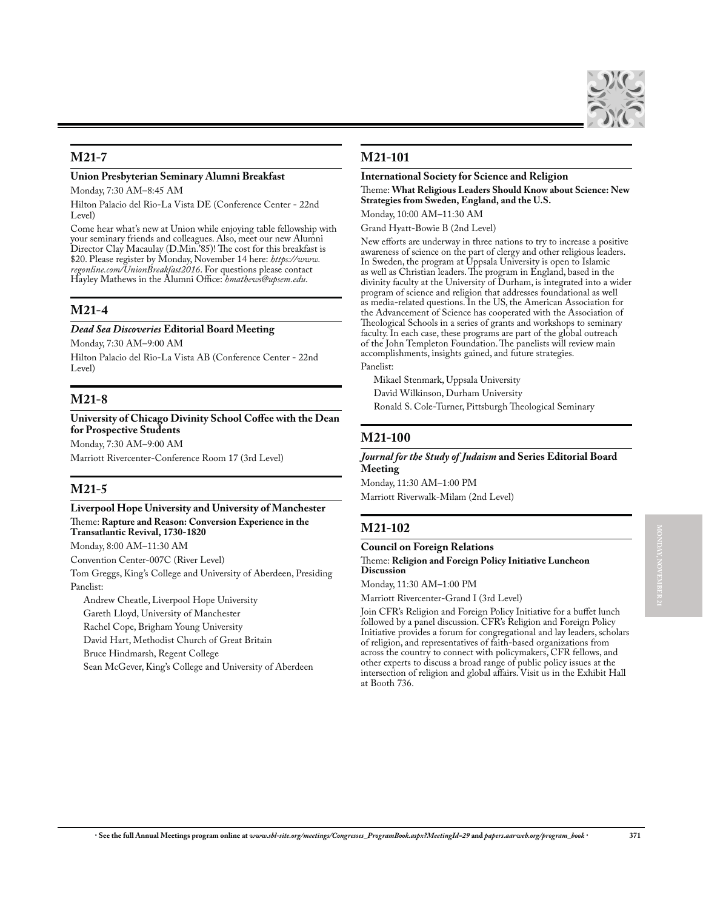## **M21-7**

## **Union Presbyterian Seminary Alumni Breakfast**

Monday, 7:30 AM–8:45 AM

Hilton Palacio del Rio-La Vista DE (Conference Center - 22nd Level)

Come hear what's new at Union while enjoying table fellowship with your seminary friends and colleagues. Also, meet our new Alumni Director Clay Macaulay (D.Min.'85)! The cost for this breakfast is \$20. Please register by Monday, November 14 here: *https://www. regonline.com/UnionBreakfast2016*. For questions please contact Hayley Mathews in the Alumni Office: *hmathews@upsem.edu*.

# **M21-4**

### *Dead Sea Discoveries* **Editorial Board Meeting**

Monday, 7:30 AM–9:00 AM

Hilton Palacio del Rio-La Vista AB (Conference Center - 22nd Level)

# **M21-8**

### **University of Chicago Divinity School Coffee with the Dean for Prospective Students**

Monday, 7:30 AM–9:00 AM

Marriott Rivercenter-Conference Room 17 (3rd Level)

# **M21-5**

### **Liverpool Hope University and University of Manchester** Theme: **Rapture and Reason: Conversion Experience in the Transatlantic Revival, 1730-1820**

Monday, 8:00 AM–11:30 AM

Convention Center-007C (River Level)

Tom Greggs, King's College and University of Aberdeen, Presiding Panelist:

Andrew Cheatle, Liverpool Hope University

Gareth Lloyd, University of Manchester

Rachel Cope, Brigham Young University

David Hart, Methodist Church of Great Britain

Bruce Hindmarsh, Regent College

Sean McGever, King's College and University of Aberdeen

# **M21-101**

### **International Society for Science and Religion** Theme: **What Religious Leaders Should Know about Science: New Strategies from Sweden, England, and the U.S.**

Monday, 10:00 AM–11:30 AM

Grand Hyatt-Bowie B (2nd Level)

New efforts are underway in three nations to try to increase a positive awareness of science on the part of clergy and other religious leaders. In Sweden, the program at Uppsala University is open to Islamic as well as Christian leaders. The program in England, based in the divinity faculty at the University of Durham, is integrated into a wider program of science and religion that addresses foundational as well as media-related questions. In the US, the American Association for the Advancement of Science has cooperated with the Association of Theological Schools in a series of grants and workshops to seminary faculty. In each case, these programs are part of the global outreach of the John Templeton Foundation. The panelists will review main accomplishments, insights gained, and future strategies.

### Panelist:

Mikael Stenmark, Uppsala University David Wilkinson, Durham University Ronald S. Cole-Turner, Pittsburgh Theological Seminary

## **M21-100**

## *Journal for the Study of Judaism* **and Series Editorial Board Meeting**

Monday, 11:30 AM–1:00 PM Marriott Riverwalk-Milam (2nd Level)

## **M21-102**

# **Council on Foreign Relations**

Theme: **Religion and Foreign Policy Initiative Luncheon Discussion**

Monday, 11:30 AM–1:00 PM

Marriott Rivercenter-Grand I (3rd Level)

Join CFR's Religion and Foreign Policy Initiative for a buffet lunch followed by a panel discussion. CFR's Religion and Foreign Policy Initiative provides a forum for congregational and lay leaders, scholars of religion, and representatives of faith-based organizations from across the country to connect with policymakers, CFR fellows, and other experts to discuss a broad range of public policy issues at the intersection of religion and global affairs. Visit us in the Exhibit Hall at Booth 736.